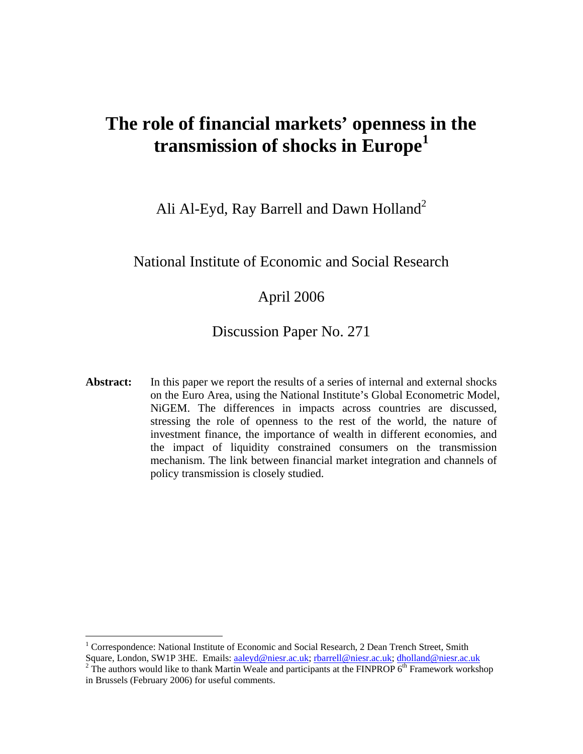# **The role of financial markets' openness in the transmission of shocks in Europe[1](#page-0-0)**

Ali Al-Eyd, Ray Barrell and Dawn Holland<sup>[2](#page-0-1)</sup>

### National Institute of Economic and Social Research

### April 2006

### Discussion Paper No. 271

Abstract: In this paper we report the results of a series of internal and external shocks on the Euro Area, using the National Institute's Global Econometric Model, NiGEM. The differences in impacts across countries are discussed, stressing the role of openness to the rest of the world, the nature of investment finance, the importance of wealth in different economies, and the impact of liquidity constrained consumers on the transmission mechanism. The link between financial market integration and channels of policy transmission is closely studied.

<span id="page-0-0"></span><sup>&</sup>lt;sup>1</sup> Correspondence: National Institute of Economic and Social Research, 2 Dean Trench Street, Smith Square, London, SW1P 3HE. Emails: [aaleyd@niesr.ac.uk](mailto:aaleyd@niesr.ac.uk); [rbarrell@niesr.ac.uk;](mailto:rbarrell@niesr.ac.uk) [dholland@niesr.ac.uk](mailto:dholland@niesr.ac.uk)

<span id="page-0-1"></span> $T<sup>2</sup>$  The authors would like to thank Martin Weale and participants at the FINPROP  $6<sup>th</sup>$  Framework workshop in Brussels (February 2006) for useful comments.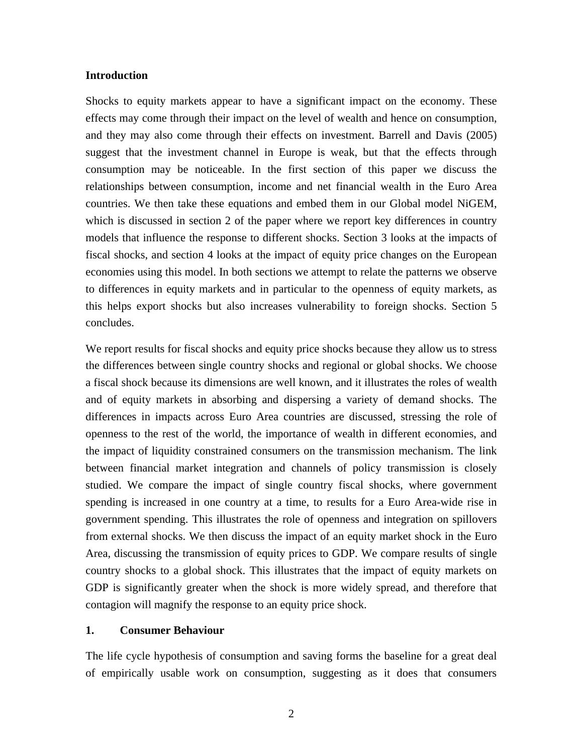#### **Introduction**

Shocks to equity markets appear to have a significant impact on the economy. These effects may come through their impact on the level of wealth and hence on consumption, and they may also come through their effects on investment. Barrell and Davis (2005) suggest that the investment channel in Europe is weak, but that the effects through consumption may be noticeable. In the first section of this paper we discuss the relationships between consumption, income and net financial wealth in the Euro Area countries. We then take these equations and embed them in our Global model NiGEM, which is discussed in section 2 of the paper where we report key differences in country models that influence the response to different shocks. Section 3 looks at the impacts of fiscal shocks, and section 4 looks at the impact of equity price changes on the European economies using this model. In both sections we attempt to relate the patterns we observe to differences in equity markets and in particular to the openness of equity markets, as this helps export shocks but also increases vulnerability to foreign shocks. Section 5 concludes.

We report results for fiscal shocks and equity price shocks because they allow us to stress the differences between single country shocks and regional or global shocks. We choose a fiscal shock because its dimensions are well known, and it illustrates the roles of wealth and of equity markets in absorbing and dispersing a variety of demand shocks. The differences in impacts across Euro Area countries are discussed, stressing the role of openness to the rest of the world, the importance of wealth in different economies, and the impact of liquidity constrained consumers on the transmission mechanism. The link between financial market integration and channels of policy transmission is closely studied. We compare the impact of single country fiscal shocks, where government spending is increased in one country at a time, to results for a Euro Area-wide rise in government spending. This illustrates the role of openness and integration on spillovers from external shocks. We then discuss the impact of an equity market shock in the Euro Area, discussing the transmission of equity prices to GDP. We compare results of single country shocks to a global shock. This illustrates that the impact of equity markets on GDP is significantly greater when the shock is more widely spread, and therefore that contagion will magnify the response to an equity price shock.

#### **1. Consumer Behaviour**

The life cycle hypothesis of consumption and saving forms the baseline for a great deal of empirically usable work on consumption, suggesting as it does that consumers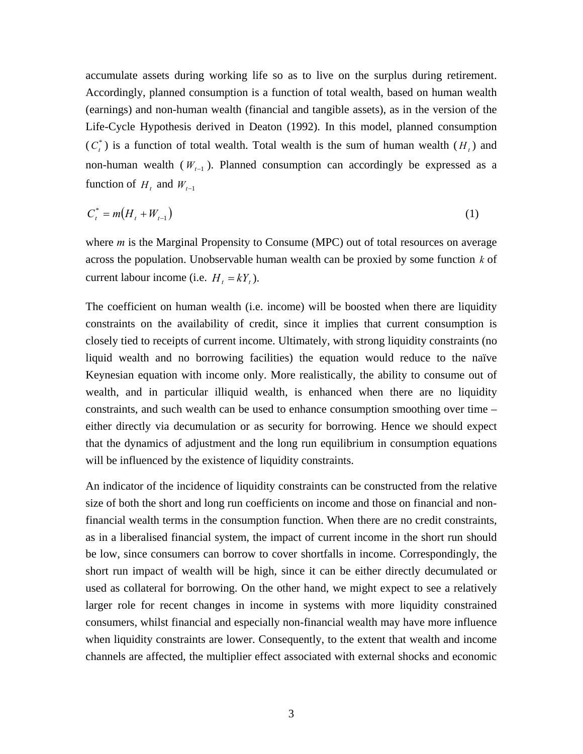accumulate assets during working life so as to live on the surplus during retirement. Accordingly, planned consumption is a function of total wealth, based on human wealth (earnings) and non-human wealth (financial and tangible assets), as in the version of the Life-Cycle Hypothesis derived in Deaton (1992). In this model, planned consumption  $(C<sub>t</sub><sup>*</sup>)$  is a function of total wealth. Total wealth is the sum of human wealth  $(H<sub>t</sub>)$  and non-human wealth ( $W_{t-1}$ ). Planned consumption can accordingly be expressed as a function of  $H_t$  and  $W_{t-1}$ 

$$
C_t^* = m(H_t + W_{t-1})
$$
 (1)

where *m* is the Marginal Propensity to Consume (MPC) out of total resources on average across the population. Unobservable human wealth can be proxied by some function *k* of current labour income (i.e.  $H_t = kY_t$ ).

The coefficient on human wealth (i.e. income) will be boosted when there are liquidity constraints on the availability of credit, since it implies that current consumption is closely tied to receipts of current income. Ultimately, with strong liquidity constraints (no liquid wealth and no borrowing facilities) the equation would reduce to the naïve Keynesian equation with income only. More realistically, the ability to consume out of wealth, and in particular illiquid wealth, is enhanced when there are no liquidity constraints, and such wealth can be used to enhance consumption smoothing over time – either directly via decumulation or as security for borrowing. Hence we should expect that the dynamics of adjustment and the long run equilibrium in consumption equations will be influenced by the existence of liquidity constraints.

An indicator of the incidence of liquidity constraints can be constructed from the relative size of both the short and long run coefficients on income and those on financial and nonfinancial wealth terms in the consumption function. When there are no credit constraints, as in a liberalised financial system, the impact of current income in the short run should be low, since consumers can borrow to cover shortfalls in income. Correspondingly, the short run impact of wealth will be high, since it can be either directly decumulated or used as collateral for borrowing. On the other hand, we might expect to see a relatively larger role for recent changes in income in systems with more liquidity constrained consumers, whilst financial and especially non-financial wealth may have more influence when liquidity constraints are lower. Consequently, to the extent that wealth and income channels are affected, the multiplier effect associated with external shocks and economic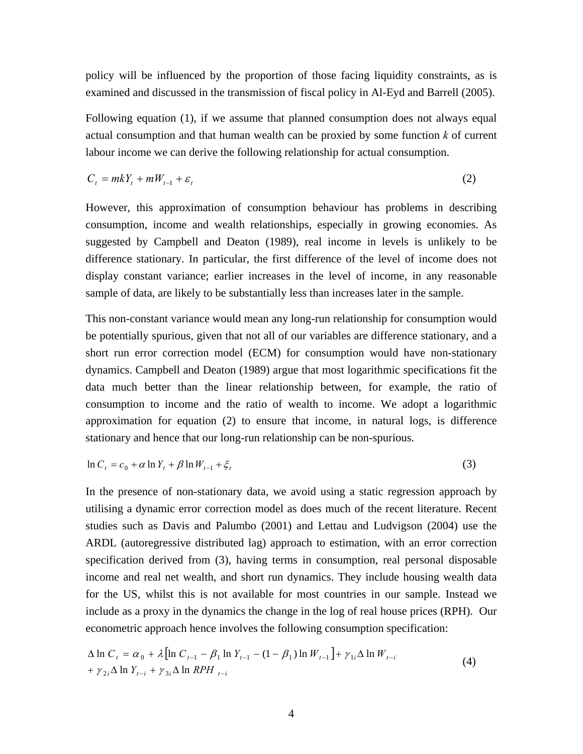policy will be influenced by the proportion of those facing liquidity constraints, as is examined and discussed in the transmission of fiscal policy in Al-Eyd and Barrell (2005).

Following equation (1), if we assume that planned consumption does not always equal actual consumption and that human wealth can be proxied by some function *k* of current labour income we can derive the following relationship for actual consumption.

$$
C_t = mkY_t + mW_{t-1} + \varepsilon_t
$$
\n<sup>(2)</sup>

However, this approximation of consumption behaviour has problems in describing consumption, income and wealth relationships, especially in growing economies. As suggested by Campbell and Deaton (1989), real income in levels is unlikely to be difference stationary. In particular, the first difference of the level of income does not display constant variance; earlier increases in the level of income, in any reasonable sample of data, are likely to be substantially less than increases later in the sample.

This non-constant variance would mean any long-run relationship for consumption would be potentially spurious, given that not all of our variables are difference stationary, and a short run error correction model (ECM) for consumption would have non-stationary dynamics. Campbell and Deaton (1989) argue that most logarithmic specifications fit the data much better than the linear relationship between, for example, the ratio of consumption to income and the ratio of wealth to income. We adopt a logarithmic approximation for equation (2) to ensure that income, in natural logs, is difference stationary and hence that our long-run relationship can be non-spurious.

$$
\ln C_t = c_0 + \alpha \ln Y_t + \beta \ln W_{t-1} + \xi_t \tag{3}
$$

In the presence of non-stationary data, we avoid using a static regression approach by utilising a dynamic error correction model as does much of the recent literature. Recent studies such as Davis and Palumbo (2001) and Lettau and Ludvigson (2004) use the ARDL (autoregressive distributed lag) approach to estimation, with an error correction specification derived from (3), having terms in consumption, real personal disposable income and real net wealth, and short run dynamics. They include housing wealth data for the US, whilst this is not available for most countries in our sample. Instead we include as a proxy in the dynamics the change in the log of real house prices (RPH). Our econometric approach hence involves the following consumption specification:

$$
\Delta \ln C_t = \alpha_0 + \lambda \left[ \ln C_{t-1} - \beta_1 \ln Y_{t-1} - (1 - \beta_1) \ln W_{t-1} \right] + \gamma_{1i} \Delta \ln W_{t-i} + \gamma_{2i} \Delta \ln Y_{t-i} + \gamma_{3i} \Delta \ln RPH_{t-i}
$$
\n(4)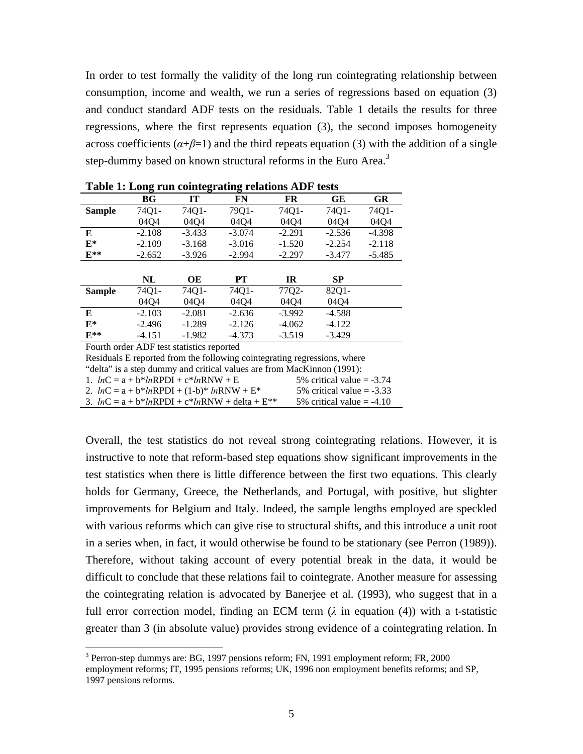In order to test formally the validity of the long run cointegrating relationship between consumption, income and wealth, we run a series of regressions based on equation (3) and conduct standard ADF tests on the residuals. Table 1 details the results for three regressions, where the first represents equation (3), the second imposes homogeneity across coefficients  $(a+\beta=1)$  and the third repeats equation (3) with the addition of a single step-dummy based on known structural reforms in the Euro Area.<sup>[3](#page-4-0)</sup>

|                | ີ        | ີ        | ີ        |           |           |          |
|----------------|----------|----------|----------|-----------|-----------|----------|
|                | BG       | IT       | FN       | <b>FR</b> | GE        | GR       |
| <b>Sample</b>  | 74Q1-    | 74Q1-    | 79Q1-    | 74Q1-     | 74Q1-     | 74Q1-    |
|                | 04Q4     | 0404     | 04Q4     | 04Q4      | 04Q4      | 04Q4     |
| E              | $-2.108$ | $-3.433$ | $-3.074$ | $-2.291$  | $-2.536$  | $-4.398$ |
| $\mathbf{F}^*$ | $-2.109$ | $-3.168$ | $-3.016$ | $-1.520$  | $-2.254$  | $-2.118$ |
| $E^{**}$       | $-2.652$ | $-3.926$ | $-2.994$ | $-2.297$  | $-3.477$  | $-5.485$ |
|                |          |          |          |           |           |          |
|                | NL       | OE       | PT       | <b>IR</b> | <b>SP</b> |          |
| <b>Sample</b>  | 74Q1-    | 74Q1-    | 74Q1-    | 77Q2-     | 82Q1-     |          |
|                | 04Q4     | 0404     | 04Q4     | 04Q4      | 04Q4      |          |
| E              | $-2.103$ | $-2.081$ | $-2.636$ | $-3.992$  | $-4.588$  |          |
| $\mathbf{F}^*$ | $-2.496$ | $-1.289$ | $-2.126$ | $-4.062$  | $-4.122$  |          |
| $F**$          | $-4.151$ | $-1.982$ | $-4.373$ | $-3.519$  | $-3.429$  |          |

|  | Table 1: Long run cointegrating relations ADF tests |  |  |
|--|-----------------------------------------------------|--|--|
|  |                                                     |  |  |

Fourth order ADF test statistics reported

 $\overline{a}$ 

Residuals E reported from the following cointegrating regressions, where

"delta" is a step dummy and critical values are from MacKinnon (1991):

1.  $lnC = a + b*lnRPDI + c*lnRNW + E$  5% critical value = -3.74 2.  $lnC = a + b*lnRPDI + (1-b)*lnRNW + E*$  5% critical value = -3.33

3.  $lnC = a + b*lnRPDI + c*lnRNW + delta + E**$  5% critical value = -4.10

Overall, the test statistics do not reveal strong cointegrating relations. However, it is instructive to note that reform-based step equations show significant improvements in the test statistics when there is little difference between the first two equations. This clearly holds for Germany, Greece, the Netherlands, and Portugal, with positive, but slighter improvements for Belgium and Italy. Indeed, the sample lengths employed are speckled with various reforms which can give rise to structural shifts, and this introduce a unit root in a series when, in fact, it would otherwise be found to be stationary (see Perron (1989)). Therefore, without taking account of every potential break in the data, it would be difficult to conclude that these relations fail to cointegrate. Another measure for assessing the cointegrating relation is advocated by Banerjee et al. (1993), who suggest that in a full error correction model, finding an ECM term  $(\lambda$  in equation (4)) with a t-statistic greater than 3 (in absolute value) provides strong evidence of a cointegrating relation. In

<span id="page-4-0"></span><sup>&</sup>lt;sup>3</sup> Perron-step dummys are: BG, 1997 pensions reform; FN, 1991 employment reform; FR, 2000 employment reforms; IT, 1995 pensions reforms; UK, 1996 non employment benefits reforms; and SP, 1997 pensions reforms.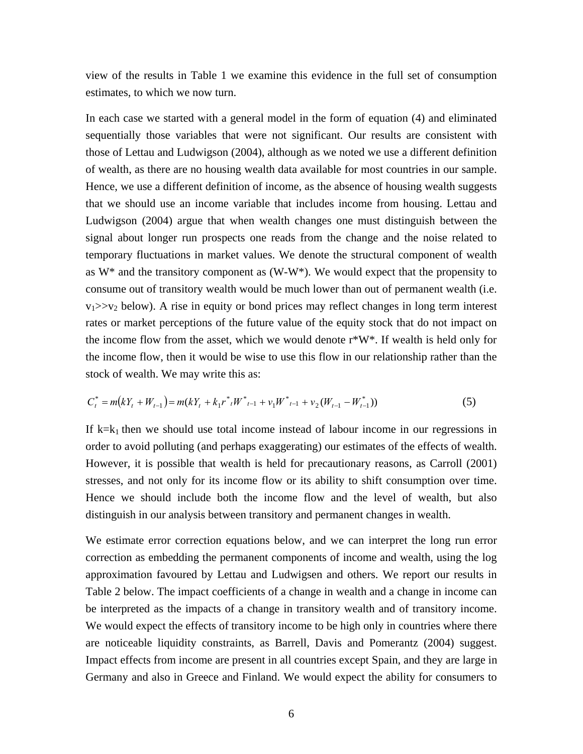view of the results in Table 1 we examine this evidence in the full set of consumption estimates, to which we now turn.

In each case we started with a general model in the form of equation (4) and eliminated sequentially those variables that were not significant. Our results are consistent with those of Lettau and Ludwigson (2004), although as we noted we use a different definition of wealth, as there are no housing wealth data available for most countries in our sample. Hence, we use a different definition of income, as the absence of housing wealth suggests that we should use an income variable that includes income from housing. Lettau and Ludwigson (2004) argue that when wealth changes one must distinguish between the signal about longer run prospects one reads from the change and the noise related to temporary fluctuations in market values. We denote the structural component of wealth as  $W^*$  and the transitory component as  $(W-W^*)$ . We would expect that the propensity to consume out of transitory wealth would be much lower than out of permanent wealth (i.e.  $v_1 \gg v_2$  below). A rise in equity or bond prices may reflect changes in long term interest rates or market perceptions of the future value of the equity stock that do not impact on the income flow from the asset, which we would denote  $r*W*$ . If wealth is held only for the income flow, then it would be wise to use this flow in our relationship rather than the stock of wealth. We may write this as:

$$
C_t^* = m(kY_t + W_{t-1}) = m(kY_t + k_1r^*_{t}W^*_{t-1} + v_1W^*_{t-1} + v_2(W_{t-1} - W_{t-1}^*))
$$
\n<sup>(5)</sup>

If  $k=k<sub>1</sub>$  then we should use total income instead of labour income in our regressions in order to avoid polluting (and perhaps exaggerating) our estimates of the effects of wealth. However, it is possible that wealth is held for precautionary reasons, as Carroll (2001) stresses, and not only for its income flow or its ability to shift consumption over time. Hence we should include both the income flow and the level of wealth, but also distinguish in our analysis between transitory and permanent changes in wealth.

We estimate error correction equations below, and we can interpret the long run error correction as embedding the permanent components of income and wealth, using the log approximation favoured by Lettau and Ludwigsen and others. We report our results in Table 2 below. The impact coefficients of a change in wealth and a change in income can be interpreted as the impacts of a change in transitory wealth and of transitory income. We would expect the effects of transitory income to be high only in countries where there are noticeable liquidity constraints, as Barrell, Davis and Pomerantz (2004) suggest. Impact effects from income are present in all countries except Spain, and they are large in Germany and also in Greece and Finland. We would expect the ability for consumers to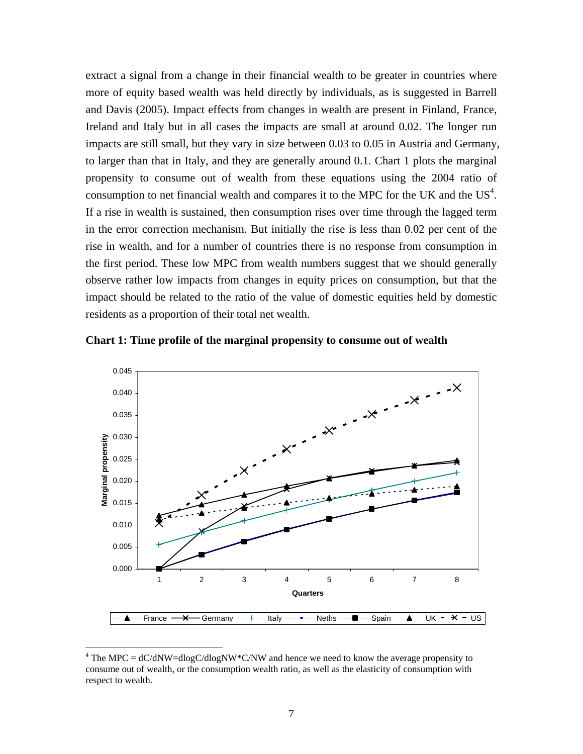extract a signal from a change in their financial wealth to be greater in countries where more of equity based wealth was held directly by individuals, as is suggested in Barrell and Davis (2005). Impact effects from changes in wealth are present in Finland, France, Ireland and Italy but in all cases the impacts are small at around 0.02. The longer run impacts are still small, but they vary in size between 0.03 to 0.05 in Austria and Germany, to larger than that in Italy, and they are generally around 0.1. Chart 1 plots the marginal propensity to consume out of wealth from these equations using the 2004 ratio of consumption to net financial wealth and compares it to the MPC for the UK and the  $US<sup>4</sup>$  $US<sup>4</sup>$  $US<sup>4</sup>$ . If a rise in wealth is sustained, then consumption rises over time through the lagged term in the error correction mechanism. But initially the rise is less than 0.02 per cent of the rise in wealth, and for a number of countries there is no response from consumption in the first period. These low MPC from wealth numbers suggest that we should generally observe rather low impacts from changes in equity prices on consumption, but that the impact should be related to the ratio of the value of domestic equities held by domestic residents as a proportion of their total net wealth.





<span id="page-6-0"></span><sup>&</sup>lt;sup>4</sup> The MPC =  $dC/dNW = dlogC/dlogNW*C/NW$  and hence we need to know the average propensity to consume out of wealth, or the consumption wealth ratio, as well as the elasticity of consumption with respect to wealth.

 $\overline{a}$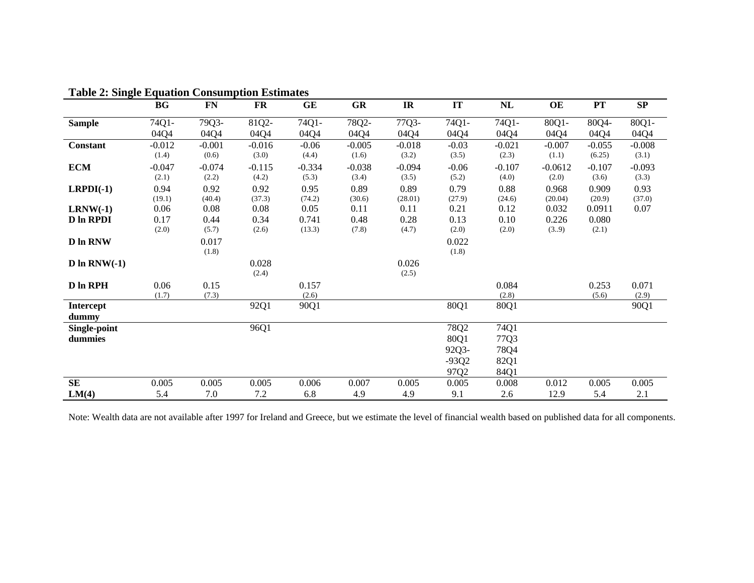| тали 2. энгди в танон Сонзинрион взинаце |                   |                   |                   |                   |                   |                   |                  |                   |                    |                   |                        |
|------------------------------------------|-------------------|-------------------|-------------------|-------------------|-------------------|-------------------|------------------|-------------------|--------------------|-------------------|------------------------|
|                                          | <b>BG</b>         | ${\bf FN}$        | FR                | GE                | <b>GR</b>         | IR                | IT               | NL                | OE                 | PT                | $\mathbf{S}\mathbf{P}$ |
| <b>Sample</b>                            | 74Q1-             | 79Q3-             | 81Q2-             | 74Q1-             | 78Q2-             | 77Q3-             | 74Q1-            | 74Q1-             | 80Q1-              | 80Q4-             | 80Q1-                  |
|                                          | 04Q4              | 04Q4              | 04Q4              | 04Q4              | 04Q4              | 04Q4              | 04Q4             | 04Q4              | 04Q4               | 04Q4              | 04Q4                   |
| Constant                                 | $-0.012$          | $-0.001$          | $-0.016$          | $-0.06$           | $-0.005$          | $-0.018$          | $-0.03$          | $-0.021$          | $-0.007$           | $-0.055$          | $-0.008$               |
|                                          | (1.4)             | (0.6)             | (3.0)             | (4.4)             | (1.6)             | (3.2)             | (3.5)            | (2.3)             | (1.1)              | (6.25)            | (3.1)                  |
| <b>ECM</b>                               | $-0.047$<br>(2.1) | $-0.074$<br>(2.2) | $-0.115$<br>(4.2) | $-0.334$<br>(5.3) | $-0.038$<br>(3.4) | $-0.094$<br>(3.5) | $-0.06$<br>(5.2) | $-0.107$<br>(4.0) | $-0.0612$<br>(2.0) | $-0.107$<br>(3.6) | $-0.093$<br>(3.3)      |
| $LRPDI(-1)$                              | 0.94<br>(19.1)    | 0.92<br>(40.4)    | 0.92<br>(37.3)    | 0.95<br>(74.2)    | 0.89<br>(30.6)    | 0.89<br>(28.01)   | 0.79<br>(27.9)   | 0.88<br>(24.6)    | 0.968<br>(20.04)   | 0.909<br>(20.9)   | 0.93<br>(37.0)         |
| $LRNW(-1)$                               | 0.06              | 0.08              | 0.08              | 0.05              | 0.11              | 0.11              | 0.21             | 0.12              | 0.032              | 0.0911            | 0.07                   |
| <b>D</b> In RPDI                         | 0.17<br>(2.0)     | 0.44<br>(5.7)     | 0.34<br>(2.6)     | 0.741<br>(13.3)   | 0.48<br>(7.8)     | 0.28<br>(4.7)     | 0.13<br>(2.0)    | 0.10<br>(2.0)     | 0.226<br>(3.9)     | 0.080<br>(2.1)    |                        |
| <b>D</b> In RNW                          |                   | 0.017<br>(1.8)    |                   |                   |                   |                   | 0.022<br>(1.8)   |                   |                    |                   |                        |
| $D \ln RNW(-1)$                          |                   |                   | 0.028<br>(2.4)    |                   |                   | 0.026<br>(2.5)    |                  |                   |                    |                   |                        |
| D In RPH                                 | 0.06<br>(1.7)     | 0.15<br>(7.3)     |                   | 0.157<br>(2.6)    |                   |                   |                  | 0.084<br>(2.8)    |                    | 0.253<br>(5.6)    | 0.071<br>(2.9)         |
| <b>Intercept</b><br>dummy                |                   |                   | 92Q1              | 90Q1              |                   |                   | 80Q1             | 80Q1              |                    |                   | 90Q1                   |
| Single-point<br>dummies                  |                   |                   | 96Q1              |                   |                   |                   | 78Q2<br>80Q1     | 74Q1<br>77Q3      |                    |                   |                        |
|                                          |                   |                   |                   |                   |                   |                   | 92Q3-            | 78Q4              |                    |                   |                        |
|                                          |                   |                   |                   |                   |                   |                   | $-93Q2$          | 82Q1              |                    |                   |                        |
|                                          |                   |                   |                   |                   |                   |                   | 97Q2             | 84Q1              |                    |                   |                        |
| SE                                       | 0.005             | 0.005             | 0.005             | 0.006             | 0.007             | 0.005             | 0.005            | 0.008             | 0.012              | 0.005             | 0.005                  |
| LM(4)                                    | 5.4               | 7.0               | 7.2               | 6.8               | 4.9               | 4.9               | 9.1              | 2.6               | 12.9               | 5.4               | 2.1                    |

#### **Table 2: Single Equation Consumption Estimates**

Note: Wealth data are not available after 1997 for Ireland and Greece, but we estimate the level of financial wealth based on published data for all components.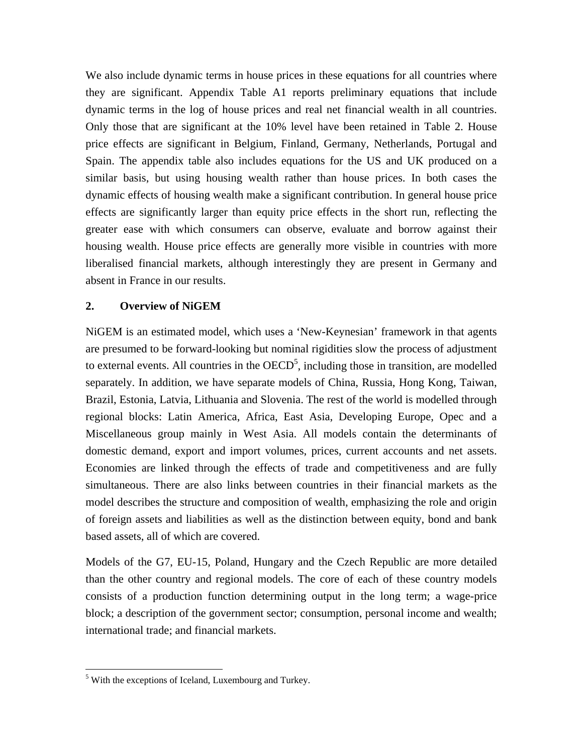We also include dynamic terms in house prices in these equations for all countries where they are significant. Appendix Table A1 reports preliminary equations that include dynamic terms in the log of house prices and real net financial wealth in all countries. Only those that are significant at the 10% level have been retained in Table 2. House price effects are significant in Belgium, Finland, Germany, Netherlands, Portugal and Spain. The appendix table also includes equations for the US and UK produced on a similar basis, but using housing wealth rather than house prices. In both cases the dynamic effects of housing wealth make a significant contribution. In general house price effects are significantly larger than equity price effects in the short run, reflecting the greater ease with which consumers can observe, evaluate and borrow against their housing wealth. House price effects are generally more visible in countries with more liberalised financial markets, although interestingly they are present in Germany and absent in France in our results.

#### **2. Overview of NiGEM**

NiGEM is an estimated model, which uses a 'New-Keynesian' framework in that agents are presumed to be forward-looking but nominal rigidities slow the process of adjustment to external events. All countries in the  $OECD<sup>5</sup>$  $OECD<sup>5</sup>$  $OECD<sup>5</sup>$ , including those in transition, are modelled separately. In addition, we have separate models of China, Russia, Hong Kong, Taiwan, Brazil, Estonia, Latvia, Lithuania and Slovenia. The rest of the world is modelled through regional blocks: Latin America, Africa, East Asia, Developing Europe, Opec and a Miscellaneous group mainly in West Asia. All models contain the determinants of domestic demand, export and import volumes, prices, current accounts and net assets. Economies are linked through the effects of trade and competitiveness and are fully simultaneous. There are also links between countries in their financial markets as the model describes the structure and composition of wealth, emphasizing the role and origin of foreign assets and liabilities as well as the distinction between equity, bond and bank based assets, all of which are covered.

Models of the G7, EU-15, Poland, Hungary and the Czech Republic are more detailed than the other country and regional models. The core of each of these country models consists of a production function determining output in the long term; a wage-price block; a description of the government sector; consumption, personal income and wealth; international trade; and financial markets.

<u>.</u>

<span id="page-8-0"></span><sup>&</sup>lt;sup>5</sup> With the exceptions of Iceland, Luxembourg and Turkey.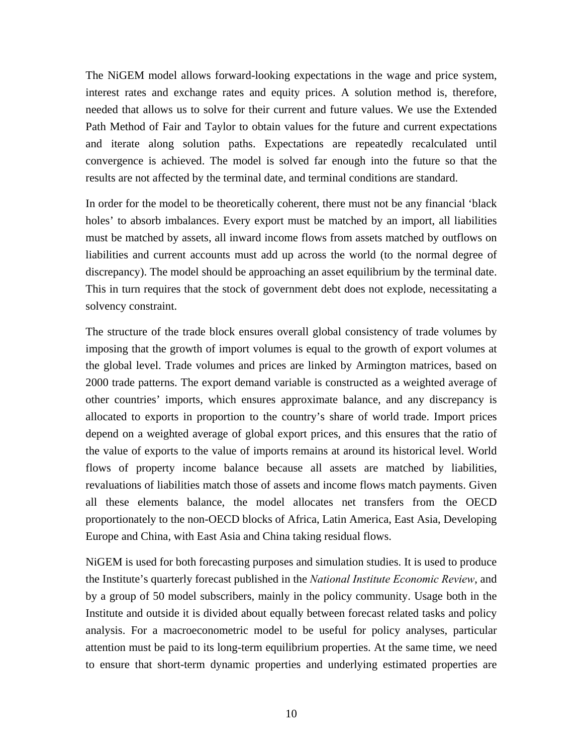The NiGEM model allows forward-looking expectations in the wage and price system, interest rates and exchange rates and equity prices. A solution method is, therefore, needed that allows us to solve for their current and future values. We use the Extended Path Method of Fair and Taylor to obtain values for the future and current expectations and iterate along solution paths. Expectations are repeatedly recalculated until convergence is achieved. The model is solved far enough into the future so that the results are not affected by the terminal date, and terminal conditions are standard.

In order for the model to be theoretically coherent, there must not be any financial 'black holes' to absorb imbalances. Every export must be matched by an import, all liabilities must be matched by assets, all inward income flows from assets matched by outflows on liabilities and current accounts must add up across the world (to the normal degree of discrepancy). The model should be approaching an asset equilibrium by the terminal date. This in turn requires that the stock of government debt does not explode, necessitating a solvency constraint.

The structure of the trade block ensures overall global consistency of trade volumes by imposing that the growth of import volumes is equal to the growth of export volumes at the global level. Trade volumes and prices are linked by Armington matrices, based on 2000 trade patterns. The export demand variable is constructed as a weighted average of other countries' imports, which ensures approximate balance, and any discrepancy is allocated to exports in proportion to the country's share of world trade. Import prices depend on a weighted average of global export prices, and this ensures that the ratio of the value of exports to the value of imports remains at around its historical level. World flows of property income balance because all assets are matched by liabilities, revaluations of liabilities match those of assets and income flows match payments. Given all these elements balance, the model allocates net transfers from the OECD proportionately to the non-OECD blocks of Africa, Latin America, East Asia, Developing Europe and China, with East Asia and China taking residual flows.

NiGEM is used for both forecasting purposes and simulation studies. It is used to produce the Institute's quarterly forecast published in the *National Institute Economic Review*, and by a group of 50 model subscribers, mainly in the policy community. Usage both in the Institute and outside it is divided about equally between forecast related tasks and policy analysis. For a macroeconometric model to be useful for policy analyses, particular attention must be paid to its long-term equilibrium properties. At the same time, we need to ensure that short-term dynamic properties and underlying estimated properties are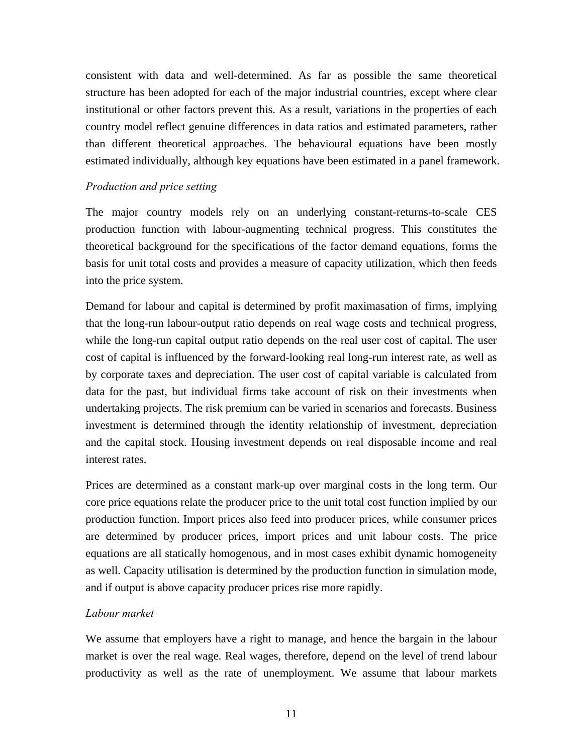consistent with data and well-determined. As far as possible the same theoretical structure has been adopted for each of the major industrial countries, except where clear institutional or other factors prevent this. As a result, variations in the properties of each country model reflect genuine differences in data ratios and estimated parameters, rather than different theoretical approaches. The behavioural equations have been mostly estimated individually, although key equations have been estimated in a panel framework.

#### *Production and price setting*

The major country models rely on an underlying constant-returns-to-scale CES production function with labour-augmenting technical progress. This constitutes the theoretical background for the specifications of the factor demand equations, forms the basis for unit total costs and provides a measure of capacity utilization, which then feeds into the price system.

Demand for labour and capital is determined by profit maximasation of firms, implying that the long-run labour-output ratio depends on real wage costs and technical progress, while the long-run capital output ratio depends on the real user cost of capital. The user cost of capital is influenced by the forward-looking real long-run interest rate, as well as by corporate taxes and depreciation. The user cost of capital variable is calculated from data for the past, but individual firms take account of risk on their investments when undertaking projects. The risk premium can be varied in scenarios and forecasts. Business investment is determined through the identity relationship of investment, depreciation and the capital stock. Housing investment depends on real disposable income and real interest rates.

Prices are determined as a constant mark-up over marginal costs in the long term. Our core price equations relate the producer price to the unit total cost function implied by our production function. Import prices also feed into producer prices, while consumer prices are determined by producer prices, import prices and unit labour costs. The price equations are all statically homogenous, and in most cases exhibit dynamic homogeneity as well. Capacity utilisation is determined by the production function in simulation mode, and if output is above capacity producer prices rise more rapidly.

#### *Labour market*

We assume that employers have a right to manage, and hence the bargain in the labour market is over the real wage. Real wages, therefore, depend on the level of trend labour productivity as well as the rate of unemployment. We assume that labour markets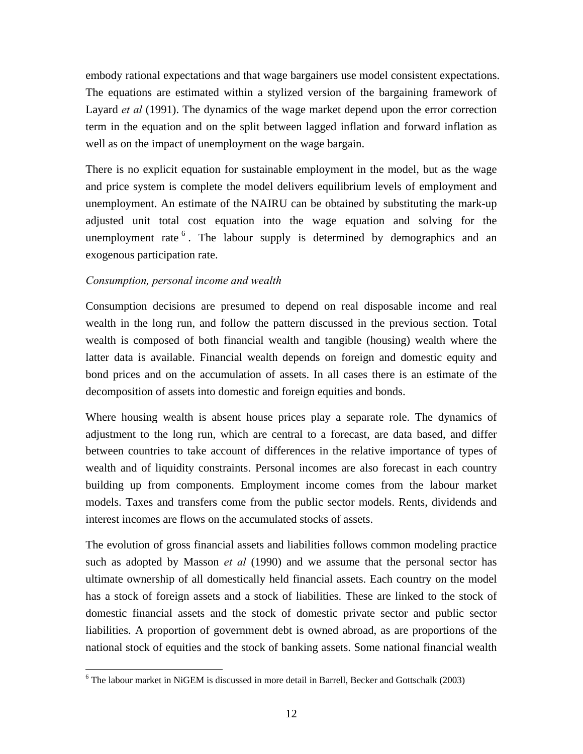embody rational expectations and that wage bargainers use model consistent expectations. The equations are estimated within a stylized version of the bargaining framework of Layard *et al* (1991). The dynamics of the wage market depend upon the error correction term in the equation and on the split between lagged inflation and forward inflation as well as on the impact of unemployment on the wage bargain.

There is no explicit equation for sustainable employment in the model, but as the wage and price system is complete the model delivers equilibrium levels of employment and unemployment. An estimate of the NAIRU can be obtained by substituting the mark-up adjusted unit total cost equation into the wage equation and solving for the unemployment rate  $6$ . The labour supply is determined by demographics and an exogenous participation rate.

#### *Consumption, personal income and wealth*

 $\overline{a}$ 

Consumption decisions are presumed to depend on real disposable income and real wealth in the long run, and follow the pattern discussed in the previous section. Total wealth is composed of both financial wealth and tangible (housing) wealth where the latter data is available. Financial wealth depends on foreign and domestic equity and bond prices and on the accumulation of assets. In all cases there is an estimate of the decomposition of assets into domestic and foreign equities and bonds.

Where housing wealth is absent house prices play a separate role. The dynamics of adjustment to the long run, which are central to a forecast, are data based, and differ between countries to take account of differences in the relative importance of types of wealth and of liquidity constraints. Personal incomes are also forecast in each country building up from components. Employment income comes from the labour market models. Taxes and transfers come from the public sector models. Rents, dividends and interest incomes are flows on the accumulated stocks of assets.

The evolution of gross financial assets and liabilities follows common modeling practice such as adopted by Masson *et al* (1990) and we assume that the personal sector has ultimate ownership of all domestically held financial assets. Each country on the model has a stock of foreign assets and a stock of liabilities. These are linked to the stock of domestic financial assets and the stock of domestic private sector and public sector liabilities. A proportion of government debt is owned abroad, as are proportions of the national stock of equities and the stock of banking assets. Some national financial wealth

<span id="page-11-0"></span><sup>&</sup>lt;sup>6</sup> The labour market in NiGEM is discussed in more detail in Barrell, Becker and Gottschalk (2003)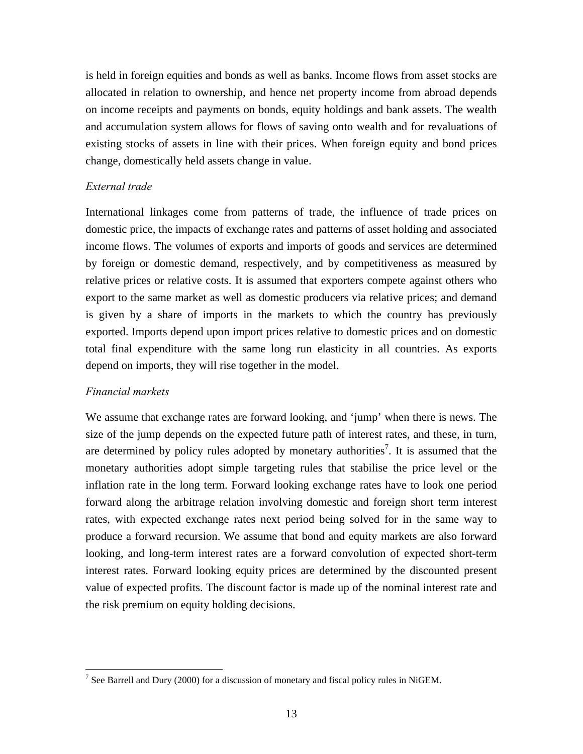is held in foreign equities and bonds as well as banks. Income flows from asset stocks are allocated in relation to ownership, and hence net property income from abroad depends on income receipts and payments on bonds, equity holdings and bank assets. The wealth and accumulation system allows for flows of saving onto wealth and for revaluations of existing stocks of assets in line with their prices. When foreign equity and bond prices change, domestically held assets change in value.

#### *External trade*

International linkages come from patterns of trade, the influence of trade prices on domestic price, the impacts of exchange rates and patterns of asset holding and associated income flows. The volumes of exports and imports of goods and services are determined by foreign or domestic demand, respectively, and by competitiveness as measured by relative prices or relative costs. It is assumed that exporters compete against others who export to the same market as well as domestic producers via relative prices; and demand is given by a share of imports in the markets to which the country has previously exported. Imports depend upon import prices relative to domestic prices and on domestic total final expenditure with the same long run elasticity in all countries. As exports depend on imports, they will rise together in the model.

#### *Financial markets*

 $\overline{a}$ 

We assume that exchange rates are forward looking, and 'jump' when there is news. The size of the jump depends on the expected future path of interest rates, and these, in turn, are determined by policy rules adopted by monetary authorities<sup>7</sup>. It is assumed that the monetary authorities adopt simple targeting rules that stabilise the price level or the inflation rate in the long term. Forward looking exchange rates have to look one period forward along the arbitrage relation involving domestic and foreign short term interest rates, with expected exchange rates next period being solved for in the same way to produce a forward recursion. We assume that bond and equity markets are also forward looking, and long-term interest rates are a forward convolution of expected short-term interest rates. Forward looking equity prices are determined by the discounted present value of expected profits. The discount factor is made up of the nominal interest rate and the risk premium on equity holding decisions.

<span id="page-12-0"></span><sup>&</sup>lt;sup>7</sup> See Barrell and Dury (2000) for a discussion of monetary and fiscal policy rules in NiGEM.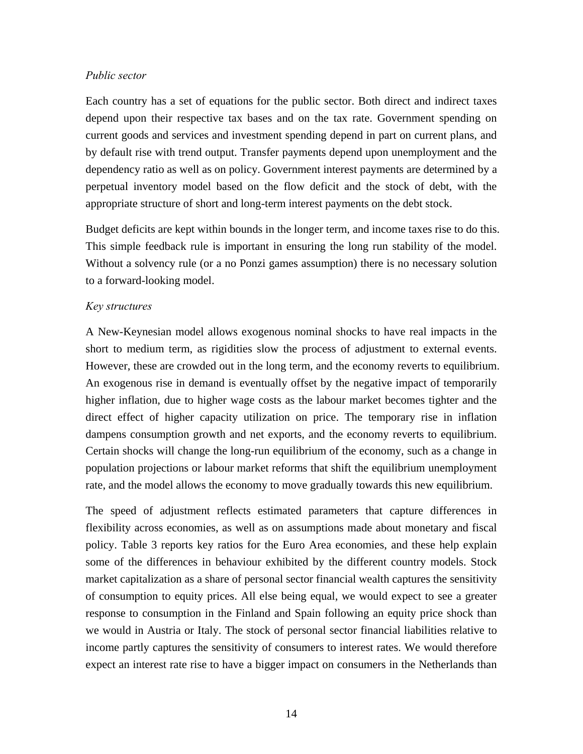#### *Public sector*

Each country has a set of equations for the public sector. Both direct and indirect taxes depend upon their respective tax bases and on the tax rate. Government spending on current goods and services and investment spending depend in part on current plans, and by default rise with trend output. Transfer payments depend upon unemployment and the dependency ratio as well as on policy. Government interest payments are determined by a perpetual inventory model based on the flow deficit and the stock of debt, with the appropriate structure of short and long-term interest payments on the debt stock.

Budget deficits are kept within bounds in the longer term, and income taxes rise to do this. This simple feedback rule is important in ensuring the long run stability of the model. Without a solvency rule (or a no Ponzi games assumption) there is no necessary solution to a forward-looking model.

#### *Key structures*

A New-Keynesian model allows exogenous nominal shocks to have real impacts in the short to medium term, as rigidities slow the process of adjustment to external events. However, these are crowded out in the long term, and the economy reverts to equilibrium. An exogenous rise in demand is eventually offset by the negative impact of temporarily higher inflation, due to higher wage costs as the labour market becomes tighter and the direct effect of higher capacity utilization on price. The temporary rise in inflation dampens consumption growth and net exports, and the economy reverts to equilibrium. Certain shocks will change the long-run equilibrium of the economy, such as a change in population projections or labour market reforms that shift the equilibrium unemployment rate, and the model allows the economy to move gradually towards this new equilibrium.

The speed of adjustment reflects estimated parameters that capture differences in flexibility across economies, as well as on assumptions made about monetary and fiscal policy. Table 3 reports key ratios for the Euro Area economies, and these help explain some of the differences in behaviour exhibited by the different country models. Stock market capitalization as a share of personal sector financial wealth captures the sensitivity of consumption to equity prices. All else being equal, we would expect to see a greater response to consumption in the Finland and Spain following an equity price shock than we would in Austria or Italy. The stock of personal sector financial liabilities relative to income partly captures the sensitivity of consumers to interest rates. We would therefore expect an interest rate rise to have a bigger impact on consumers in the Netherlands than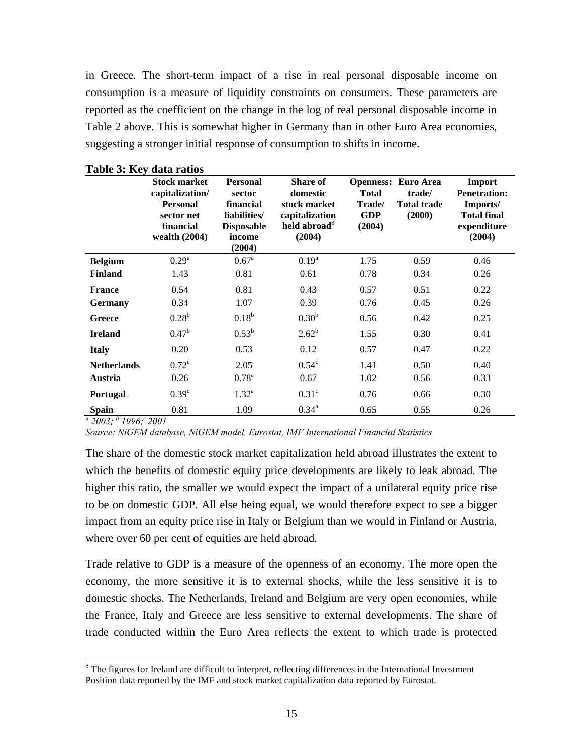in Greece. The short-term impact of a rise in real personal disposable income on consumption is a measure of liquidity constraints on consumers. These parameters are reported as the coefficient on the change in the log of real personal disposable income in Table 2 above. This is somewhat higher in Germany than in other Euro Area economies, suggesting a stronger initial response of consumption to shifts in income.

|                    | <b>Stock market</b><br>capitalization/<br><b>Personal</b><br>sector net<br>financial<br>wealth $(2004)$ | <b>Personal</b><br>sector<br>financial<br>liabilities/<br><b>Disposable</b><br>income<br>(2004) | <b>Share of</b><br>domestic<br>stock market<br>capitalization<br>held abroad <sup>8</sup><br>(2004) | <b>Total</b><br>Trade/<br><b>GDP</b><br>(2004) | <b>Openness: Euro Area</b><br>trade/<br><b>Total trade</b><br>(2000) | Import<br><b>Penetration:</b><br>Imports/<br><b>Total final</b><br>expenditure<br>(2004) |
|--------------------|---------------------------------------------------------------------------------------------------------|-------------------------------------------------------------------------------------------------|-----------------------------------------------------------------------------------------------------|------------------------------------------------|----------------------------------------------------------------------|------------------------------------------------------------------------------------------|
| <b>Belgium</b>     | 0.29 <sup>a</sup>                                                                                       | 0.67 <sup>a</sup>                                                                               | $0.19^{a}$                                                                                          | 1.75                                           | 0.59                                                                 | 0.46                                                                                     |
| <b>Finland</b>     | 1.43                                                                                                    | 0.81                                                                                            | 0.61                                                                                                | 0.78                                           | 0.34                                                                 | 0.26                                                                                     |
| <b>France</b>      | 0.54                                                                                                    | 0.81                                                                                            | 0.43                                                                                                | 0.57                                           | 0.51                                                                 | 0.22                                                                                     |
| <b>Germany</b>     | 0.34                                                                                                    | 1.07                                                                                            | 0.39                                                                                                | 0.76                                           | 0.45                                                                 | 0.26                                                                                     |
| Greece             | 0.28 <sup>b</sup>                                                                                       | $0.18^{b}$                                                                                      | 0.30 <sup>b</sup>                                                                                   | 0.56                                           | 0.42                                                                 | 0.25                                                                                     |
| <b>Ireland</b>     | $0.47^{\rm b}$                                                                                          | $0.53^{b}$                                                                                      | $2.62^{b}$                                                                                          | 1.55                                           | 0.30                                                                 | 0.41                                                                                     |
| <b>Italy</b>       | 0.20                                                                                                    | 0.53                                                                                            | 0.12                                                                                                | 0.57                                           | 0.47                                                                 | 0.22                                                                                     |
| <b>Netherlands</b> | $0.72^{\circ}$                                                                                          | 2.05                                                                                            | $0.54^{\circ}$                                                                                      | 1.41                                           | 0.50                                                                 | 0.40                                                                                     |
| Austria            | 0.26                                                                                                    | $0.78^{a}$                                                                                      | 0.67                                                                                                | 1.02                                           | 0.56                                                                 | 0.33                                                                                     |
| Portugal           | 0.39 <sup>c</sup>                                                                                       | $1.32^{a}$                                                                                      | 0.31 <sup>c</sup>                                                                                   | 0.76                                           | 0.66                                                                 | 0.30                                                                                     |
| <b>Spain</b>       | 0.81                                                                                                    | 1.09                                                                                            | $0.34^{\rm a}$                                                                                      | 0.65                                           | 0.55                                                                 | 0.26                                                                                     |

**Table 3: Key data ratios** 

*a 2003; b 1996; c 2001*

 $\overline{a}$ 

*Source: NiGEM database, NiGEM model, Eurostat, IMF International Financial Statistics* 

The share of the domestic stock market capitalization held abroad illustrates the extent to which the benefits of domestic equity price developments are likely to leak abroad. The higher this ratio, the smaller we would expect the impact of a unilateral equity price rise to be on domestic GDP. All else being equal, we would therefore expect to see a bigger impact from an equity price rise in Italy or Belgium than we would in Finland or Austria, where over 60 per cent of equities are held abroad.

Trade relative to GDP is a measure of the openness of an economy. The more open the economy, the more sensitive it is to external shocks, while the less sensitive it is to domestic shocks. The Netherlands, Ireland and Belgium are very open economies, while the France, Italy and Greece are less sensitive to external developments. The share of trade conducted within the Euro Area reflects the extent to which trade is protected

<span id="page-14-0"></span><sup>&</sup>lt;sup>8</sup> The figures for Ireland are difficult to interpret, reflecting differences in the International Investment Position data reported by the IMF and stock market capitalization data reported by Eurostat.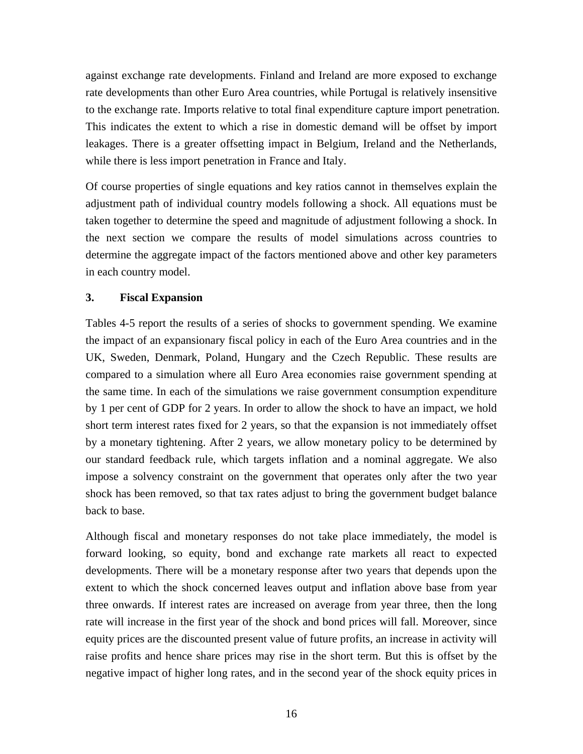against exchange rate developments. Finland and Ireland are more exposed to exchange rate developments than other Euro Area countries, while Portugal is relatively insensitive to the exchange rate. Imports relative to total final expenditure capture import penetration. This indicates the extent to which a rise in domestic demand will be offset by import leakages. There is a greater offsetting impact in Belgium, Ireland and the Netherlands, while there is less import penetration in France and Italy.

Of course properties of single equations and key ratios cannot in themselves explain the adjustment path of individual country models following a shock. All equations must be taken together to determine the speed and magnitude of adjustment following a shock. In the next section we compare the results of model simulations across countries to determine the aggregate impact of the factors mentioned above and other key parameters in each country model.

#### **3. Fiscal Expansion**

Tables 4-5 report the results of a series of shocks to government spending. We examine the impact of an expansionary fiscal policy in each of the Euro Area countries and in the UK, Sweden, Denmark, Poland, Hungary and the Czech Republic. These results are compared to a simulation where all Euro Area economies raise government spending at the same time. In each of the simulations we raise government consumption expenditure by 1 per cent of GDP for 2 years. In order to allow the shock to have an impact, we hold short term interest rates fixed for 2 years, so that the expansion is not immediately offset by a monetary tightening. After 2 years, we allow monetary policy to be determined by our standard feedback rule, which targets inflation and a nominal aggregate. We also impose a solvency constraint on the government that operates only after the two year shock has been removed, so that tax rates adjust to bring the government budget balance back to base.

Although fiscal and monetary responses do not take place immediately, the model is forward looking, so equity, bond and exchange rate markets all react to expected developments. There will be a monetary response after two years that depends upon the extent to which the shock concerned leaves output and inflation above base from year three onwards. If interest rates are increased on average from year three, then the long rate will increase in the first year of the shock and bond prices will fall. Moreover, since equity prices are the discounted present value of future profits, an increase in activity will raise profits and hence share prices may rise in the short term. But this is offset by the negative impact of higher long rates, and in the second year of the shock equity prices in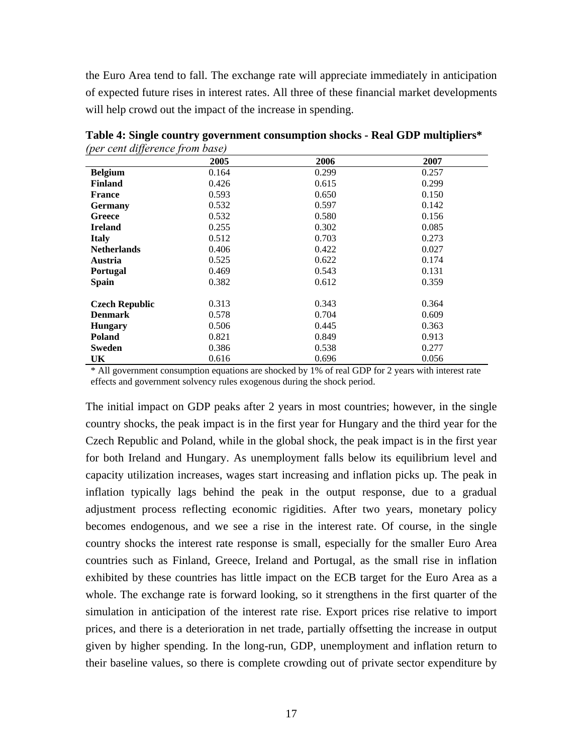the Euro Area tend to fall. The exchange rate will appreciate immediately in anticipation of expected future rises in interest rates. All three of these financial market developments will help crowd out the impact of the increase in spending.

|                       | 2005  | 2006  | 2007  |
|-----------------------|-------|-------|-------|
| <b>Belgium</b>        | 0.164 | 0.299 | 0.257 |
| <b>Finland</b>        | 0.426 | 0.615 | 0.299 |
| <b>France</b>         | 0.593 | 0.650 | 0.150 |
| <b>Germany</b>        | 0.532 | 0.597 | 0.142 |
| Greece                | 0.532 | 0.580 | 0.156 |
| <b>Ireland</b>        | 0.255 | 0.302 | 0.085 |
| <b>Italy</b>          | 0.512 | 0.703 | 0.273 |
| <b>Netherlands</b>    | 0.406 | 0.422 | 0.027 |
| <b>Austria</b>        | 0.525 | 0.622 | 0.174 |
| <b>Portugal</b>       | 0.469 | 0.543 | 0.131 |
| <b>Spain</b>          | 0.382 | 0.612 | 0.359 |
| <b>Czech Republic</b> | 0.313 | 0.343 | 0.364 |
| <b>Denmark</b>        | 0.578 | 0.704 | 0.609 |
| <b>Hungary</b>        | 0.506 | 0.445 | 0.363 |
| <b>Poland</b>         | 0.821 | 0.849 | 0.913 |
| <b>Sweden</b>         | 0.386 | 0.538 | 0.277 |
| UK.                   | 0.616 | 0.696 | 0.056 |

**Table 4: Single country government consumption shocks - Real GDP multipliers\***  *(per cent difference from base)*

\* All government consumption equations are shocked by 1% of real GDP for 2 years with interest rate effects and government solvency rules exogenous during the shock period.

The initial impact on GDP peaks after 2 years in most countries; however, in the single country shocks, the peak impact is in the first year for Hungary and the third year for the Czech Republic and Poland, while in the global shock, the peak impact is in the first year for both Ireland and Hungary. As unemployment falls below its equilibrium level and capacity utilization increases, wages start increasing and inflation picks up. The peak in inflation typically lags behind the peak in the output response, due to a gradual adjustment process reflecting economic rigidities. After two years, monetary policy becomes endogenous, and we see a rise in the interest rate. Of course, in the single country shocks the interest rate response is small, especially for the smaller Euro Area countries such as Finland, Greece, Ireland and Portugal, as the small rise in inflation exhibited by these countries has little impact on the ECB target for the Euro Area as a whole. The exchange rate is forward looking, so it strengthens in the first quarter of the simulation in anticipation of the interest rate rise. Export prices rise relative to import prices, and there is a deterioration in net trade, partially offsetting the increase in output given by higher spending. In the long-run, GDP, unemployment and inflation return to their baseline values, so there is complete crowding out of private sector expenditure by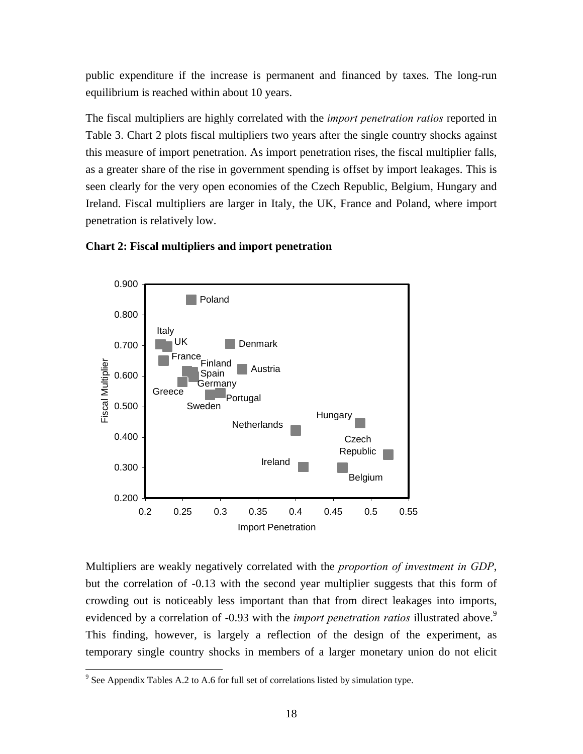public expenditure if the increase is permanent and financed by taxes. The long-run equilibrium is reached within about 10 years.

The fiscal multipliers are highly correlated with the *import penetration ratios* reported in Table 3. Chart 2 plots fiscal multipliers two years after the single country shocks against this measure of import penetration. As import penetration rises, the fiscal multiplier falls, as a greater share of the rise in government spending is offset by import leakages. This is seen clearly for the very open economies of the Czech Republic, Belgium, Hungary and Ireland. Fiscal multipliers are larger in Italy, the UK, France and Poland, where import penetration is relatively low.





Multipliers are weakly negatively correlated with the *proportion of investment in GDP*, but the correlation of -0.13 with the second year multiplier suggests that this form of crowding out is noticeably less important than that from direct leakages into imports, evidenced by a correlation of -0[.9](#page-17-0)3 with the *import penetration ratios* illustrated above.<sup>9</sup> This finding, however, is largely a reflection of the design of the experiment, as temporary single country shocks in members of a larger monetary union do not elicit

<u>.</u>

<span id="page-17-0"></span> $9^9$  See Appendix Tables A.2 to A.6 for full set of correlations listed by simulation type.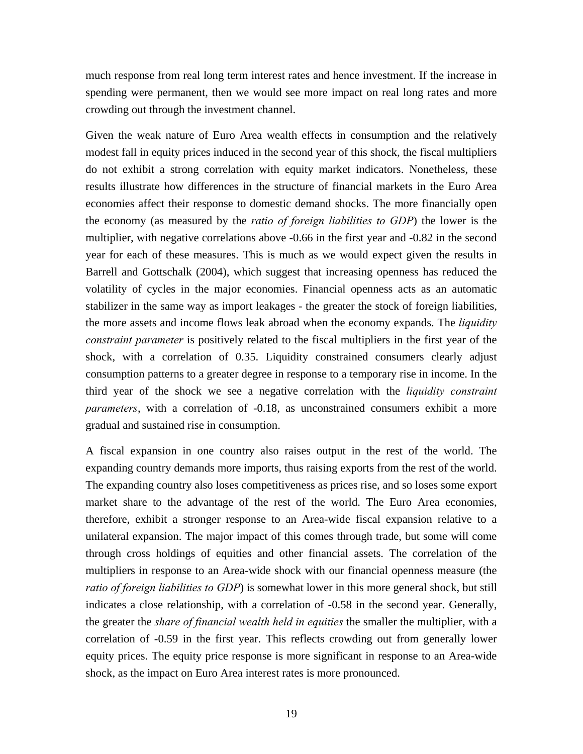much response from real long term interest rates and hence investment. If the increase in spending were permanent, then we would see more impact on real long rates and more crowding out through the investment channel.

Given the weak nature of Euro Area wealth effects in consumption and the relatively modest fall in equity prices induced in the second year of this shock, the fiscal multipliers do not exhibit a strong correlation with equity market indicators. Nonetheless, these results illustrate how differences in the structure of financial markets in the Euro Area economies affect their response to domestic demand shocks. The more financially open the economy (as measured by the *ratio of foreign liabilities to GDP*) the lower is the multiplier, with negative correlations above -0.66 in the first year and -0.82 in the second year for each of these measures. This is much as we would expect given the results in Barrell and Gottschalk (2004), which suggest that increasing openness has reduced the volatility of cycles in the major economies. Financial openness acts as an automatic stabilizer in the same way as import leakages - the greater the stock of foreign liabilities, the more assets and income flows leak abroad when the economy expands. The *liquidity constraint parameter* is positively related to the fiscal multipliers in the first year of the shock, with a correlation of 0.35. Liquidity constrained consumers clearly adjust consumption patterns to a greater degree in response to a temporary rise in income. In the third year of the shock we see a negative correlation with the *liquidity constraint parameters*, with a correlation of -0.18, as unconstrained consumers exhibit a more gradual and sustained rise in consumption.

A fiscal expansion in one country also raises output in the rest of the world. The expanding country demands more imports, thus raising exports from the rest of the world. The expanding country also loses competitiveness as prices rise, and so loses some export market share to the advantage of the rest of the world. The Euro Area economies, therefore, exhibit a stronger response to an Area-wide fiscal expansion relative to a unilateral expansion. The major impact of this comes through trade, but some will come through cross holdings of equities and other financial assets. The correlation of the multipliers in response to an Area-wide shock with our financial openness measure (the *ratio of foreign liabilities to GDP*) is somewhat lower in this more general shock, but still indicates a close relationship, with a correlation of -0.58 in the second year. Generally, the greater the *share of financial wealth held in equities* the smaller the multiplier, with a correlation of -0.59 in the first year. This reflects crowding out from generally lower equity prices. The equity price response is more significant in response to an Area-wide shock, as the impact on Euro Area interest rates is more pronounced.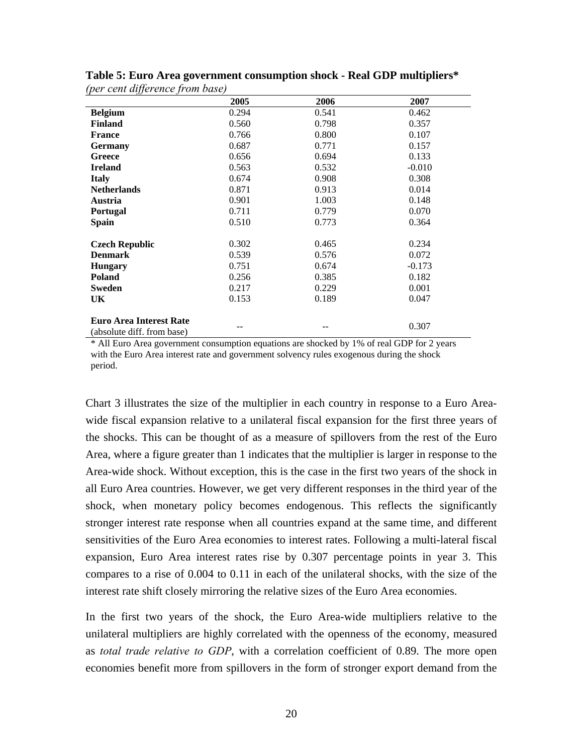|                                                              | 2005  | 2006  | 2007     |
|--------------------------------------------------------------|-------|-------|----------|
| <b>Belgium</b>                                               | 0.294 | 0.541 | 0.462    |
| <b>Finland</b>                                               | 0.560 | 0.798 | 0.357    |
| <b>France</b>                                                | 0.766 | 0.800 | 0.107    |
| <b>Germany</b>                                               | 0.687 | 0.771 | 0.157    |
| Greece                                                       | 0.656 | 0.694 | 0.133    |
| <b>Ireland</b>                                               | 0.563 | 0.532 | $-0.010$ |
| <b>Italy</b>                                                 | 0.674 | 0.908 | 0.308    |
| <b>Netherlands</b>                                           | 0.871 | 0.913 | 0.014    |
| Austria                                                      | 0.901 | 1.003 | 0.148    |
| <b>Portugal</b>                                              | 0.711 | 0.779 | 0.070    |
| <b>Spain</b>                                                 | 0.510 | 0.773 | 0.364    |
|                                                              |       |       |          |
| <b>Czech Republic</b>                                        | 0.302 | 0.465 | 0.234    |
| <b>Denmark</b>                                               | 0.539 | 0.576 | 0.072    |
| <b>Hungary</b>                                               | 0.751 | 0.674 | $-0.173$ |
| <b>Poland</b>                                                | 0.256 | 0.385 | 0.182    |
| Sweden                                                       | 0.217 | 0.229 | 0.001    |
| UK                                                           | 0.153 | 0.189 | 0.047    |
|                                                              |       |       |          |
| <b>Euro Area Interest Rate</b><br>(absolute diff. from base) |       |       | 0.307    |

**Table 5: Euro Area government consumption shock - Real GDP multipliers\***  *(per cent difference from base)*

\* All Euro Area government consumption equations are shocked by 1% of real GDP for 2 years with the Euro Area interest rate and government solvency rules exogenous during the shock period.

Chart 3 illustrates the size of the multiplier in each country in response to a Euro Areawide fiscal expansion relative to a unilateral fiscal expansion for the first three years of the shocks. This can be thought of as a measure of spillovers from the rest of the Euro Area, where a figure greater than 1 indicates that the multiplier is larger in response to the Area-wide shock. Without exception, this is the case in the first two years of the shock in all Euro Area countries. However, we get very different responses in the third year of the shock, when monetary policy becomes endogenous. This reflects the significantly stronger interest rate response when all countries expand at the same time, and different sensitivities of the Euro Area economies to interest rates. Following a multi-lateral fiscal expansion, Euro Area interest rates rise by 0.307 percentage points in year 3. This compares to a rise of 0.004 to 0.11 in each of the unilateral shocks, with the size of the interest rate shift closely mirroring the relative sizes of the Euro Area economies.

In the first two years of the shock, the Euro Area-wide multipliers relative to the unilateral multipliers are highly correlated with the openness of the economy, measured as *total trade relative to GDP*, with a correlation coefficient of 0.89. The more open economies benefit more from spillovers in the form of stronger export demand from the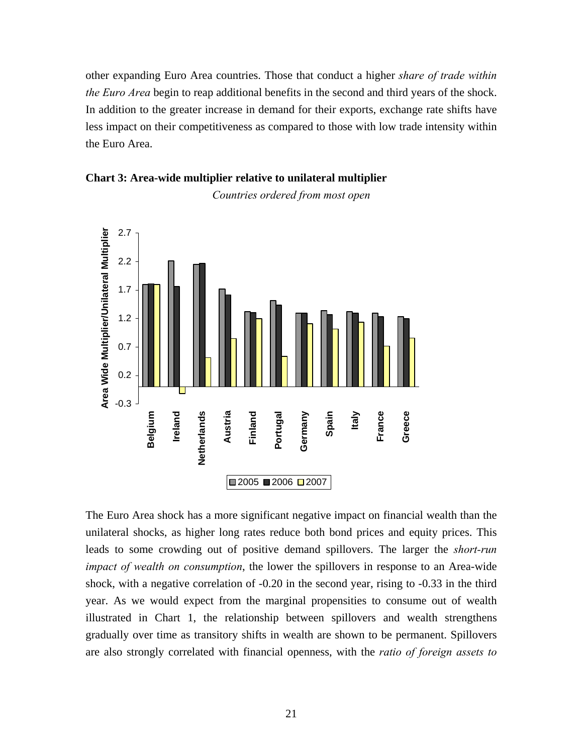other expanding Euro Area countries. Those that conduct a higher *share of trade within the Euro Area* begin to reap additional benefits in the second and third years of the shock. In addition to the greater increase in demand for their exports, exchange rate shifts have less impact on their competitiveness as compared to those with low trade intensity within the Euro Area.



**Chart 3: Area-wide multiplier relative to unilateral multiplier** 

The Euro Area shock has a more significant negative impact on financial wealth than the unilateral shocks, as higher long rates reduce both bond prices and equity prices. This leads to some crowding out of positive demand spillovers. The larger the *short-run impact of wealth on consumption*, the lower the spillovers in response to an Area-wide shock, with a negative correlation of -0.20 in the second year, rising to -0.33 in the third year. As we would expect from the marginal propensities to consume out of wealth illustrated in Chart 1, the relationship between spillovers and wealth strengthens gradually over time as transitory shifts in wealth are shown to be permanent. Spillovers are also strongly correlated with financial openness, with the *ratio of foreign assets to* 

*Countries ordered from most open*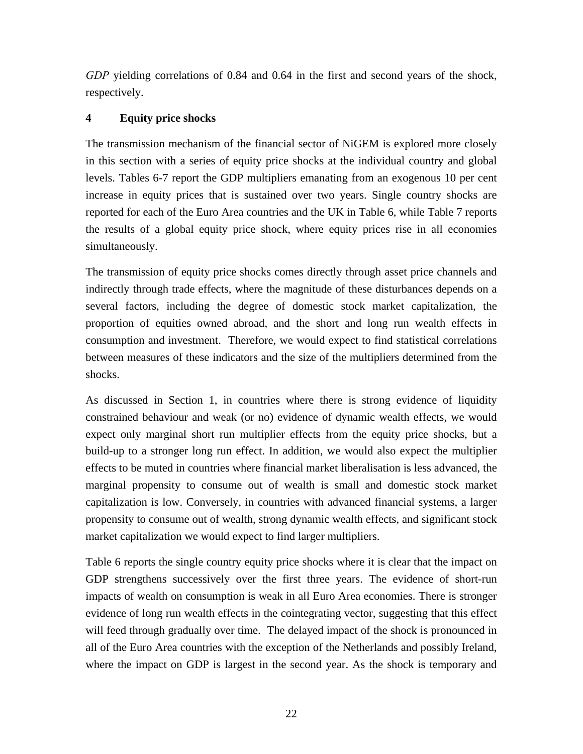*GDP* yielding correlations of 0.84 and 0.64 in the first and second years of the shock, respectively.

### **4 Equity price shocks**

The transmission mechanism of the financial sector of NiGEM is explored more closely in this section with a series of equity price shocks at the individual country and global levels. Tables 6-7 report the GDP multipliers emanating from an exogenous 10 per cent increase in equity prices that is sustained over two years. Single country shocks are reported for each of the Euro Area countries and the UK in Table 6, while Table 7 reports the results of a global equity price shock, where equity prices rise in all economies simultaneously.

The transmission of equity price shocks comes directly through asset price channels and indirectly through trade effects, where the magnitude of these disturbances depends on a several factors, including the degree of domestic stock market capitalization, the proportion of equities owned abroad, and the short and long run wealth effects in consumption and investment. Therefore, we would expect to find statistical correlations between measures of these indicators and the size of the multipliers determined from the shocks.

As discussed in Section 1, in countries where there is strong evidence of liquidity constrained behaviour and weak (or no) evidence of dynamic wealth effects, we would expect only marginal short run multiplier effects from the equity price shocks, but a build-up to a stronger long run effect. In addition, we would also expect the multiplier effects to be muted in countries where financial market liberalisation is less advanced, the marginal propensity to consume out of wealth is small and domestic stock market capitalization is low. Conversely, in countries with advanced financial systems, a larger propensity to consume out of wealth, strong dynamic wealth effects, and significant stock market capitalization we would expect to find larger multipliers.

Table 6 reports the single country equity price shocks where it is clear that the impact on GDP strengthens successively over the first three years. The evidence of short-run impacts of wealth on consumption is weak in all Euro Area economies. There is stronger evidence of long run wealth effects in the cointegrating vector, suggesting that this effect will feed through gradually over time. The delayed impact of the shock is pronounced in all of the Euro Area countries with the exception of the Netherlands and possibly Ireland, where the impact on GDP is largest in the second year. As the shock is temporary and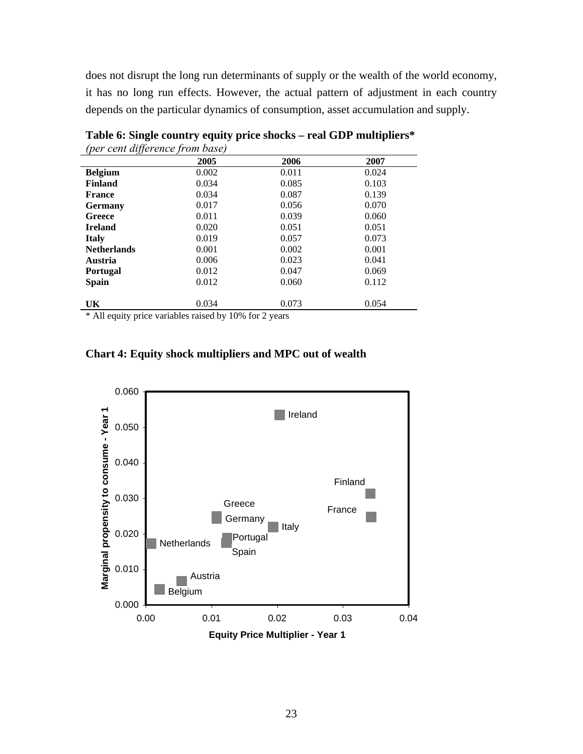does not disrupt the long run determinants of supply or the wealth of the world economy, it has no long run effects. However, the actual pattern of adjustment in each country depends on the particular dynamics of consumption, asset accumulation and supply.

|                    | 2005  | 2006  | 2007  |
|--------------------|-------|-------|-------|
| <b>Belgium</b>     | 0.002 | 0.011 | 0.024 |
| <b>Finland</b>     | 0.034 | 0.085 | 0.103 |
| <b>France</b>      | 0.034 | 0.087 | 0.139 |
| <b>Germany</b>     | 0.017 | 0.056 | 0.070 |
| Greece             | 0.011 | 0.039 | 0.060 |
| <b>Ireland</b>     | 0.020 | 0.051 | 0.051 |
| <b>Italy</b>       | 0.019 | 0.057 | 0.073 |
| <b>Netherlands</b> | 0.001 | 0.002 | 0.001 |
| Austria            | 0.006 | 0.023 | 0.041 |
| <b>Portugal</b>    | 0.012 | 0.047 | 0.069 |
| <b>Spain</b>       | 0.012 | 0.060 | 0.112 |
|                    |       |       |       |
| UK                 | 0.034 | 0.073 | 0.054 |

**Table 6: Single country equity price shocks – real GDP multipliers\***  *(per cent difference from base)*

\* All equity price variables raised by 10% for 2 years



**Chart 4: Equity shock multipliers and MPC out of wealth**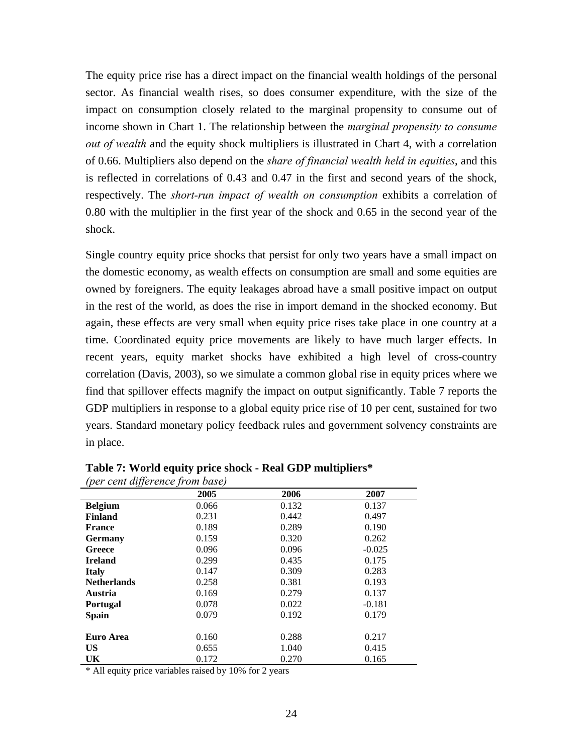The equity price rise has a direct impact on the financial wealth holdings of the personal sector. As financial wealth rises, so does consumer expenditure, with the size of the impact on consumption closely related to the marginal propensity to consume out of income shown in Chart 1. The relationship between the *marginal propensity to consume out of wealth* and the equity shock multipliers is illustrated in Chart 4, with a correlation of 0.66. Multipliers also depend on the *share of financial wealth held in equities*, and this is reflected in correlations of 0.43 and 0.47 in the first and second years of the shock, respectively. The *short-run impact of wealth on consumption* exhibits a correlation of 0.80 with the multiplier in the first year of the shock and 0.65 in the second year of the shock.

Single country equity price shocks that persist for only two years have a small impact on the domestic economy, as wealth effects on consumption are small and some equities are owned by foreigners. The equity leakages abroad have a small positive impact on output in the rest of the world, as does the rise in import demand in the shocked economy. But again, these effects are very small when equity price rises take place in one country at a time. Coordinated equity price movements are likely to have much larger effects. In recent years, equity market shocks have exhibited a high level of cross-country correlation (Davis, 2003), so we simulate a common global rise in equity prices where we find that spillover effects magnify the impact on output significantly. Table 7 reports the GDP multipliers in response to a global equity price rise of 10 per cent, sustained for two years. Standard monetary policy feedback rules and government solvency constraints are in place.

|                    | 2005  | 2006  | 2007     |
|--------------------|-------|-------|----------|
| <b>Belgium</b>     | 0.066 | 0.132 | 0.137    |
| <b>Finland</b>     | 0.231 | 0.442 | 0.497    |
| <b>France</b>      | 0.189 | 0.289 | 0.190    |
| <b>Germany</b>     | 0.159 | 0.320 | 0.262    |
| Greece             | 0.096 | 0.096 | $-0.025$ |
| <b>Ireland</b>     | 0.299 | 0.435 | 0.175    |
| <b>Italy</b>       | 0.147 | 0.309 | 0.283    |
| <b>Netherlands</b> | 0.258 | 0.381 | 0.193    |
| Austria            | 0.169 | 0.279 | 0.137    |
| <b>Portugal</b>    | 0.078 | 0.022 | $-0.181$ |
| <b>Spain</b>       | 0.079 | 0.192 | 0.179    |
| Euro Area          | 0.160 | 0.288 | 0.217    |
| <b>US</b>          | 0.655 | 1.040 | 0.415    |
| UK                 | 0.172 | 0.270 | 0.165    |

**Table 7: World equity price shock - Real GDP multipliers\***  *(per cent difference from base)*

\* All equity price variables raised by 10% for 2 years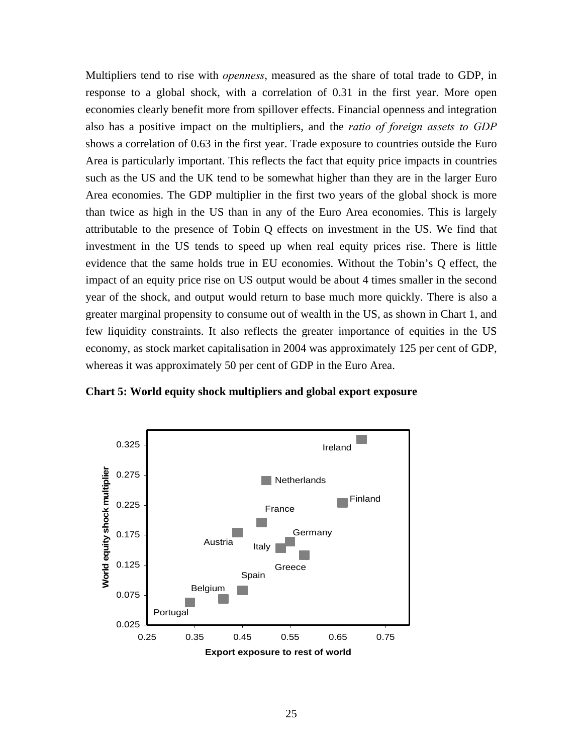Multipliers tend to rise with *openness*, measured as the share of total trade to GDP, in response to a global shock, with a correlation of 0.31 in the first year. More open economies clearly benefit more from spillover effects. Financial openness and integration also has a positive impact on the multipliers, and the *ratio of foreign assets to GDP* shows a correlation of 0.63 in the first year. Trade exposure to countries outside the Euro Area is particularly important. This reflects the fact that equity price impacts in countries such as the US and the UK tend to be somewhat higher than they are in the larger Euro Area economies. The GDP multiplier in the first two years of the global shock is more than twice as high in the US than in any of the Euro Area economies. This is largely attributable to the presence of Tobin Q effects on investment in the US. We find that investment in the US tends to speed up when real equity prices rise. There is little evidence that the same holds true in EU economies. Without the Tobin's Q effect, the impact of an equity price rise on US output would be about 4 times smaller in the second year of the shock, and output would return to base much more quickly. There is also a greater marginal propensity to consume out of wealth in the US, as shown in Chart 1, and few liquidity constraints. It also reflects the greater importance of equities in the US economy, as stock market capitalisation in 2004 was approximately 125 per cent of GDP, whereas it was approximately 50 per cent of GDP in the Euro Area.



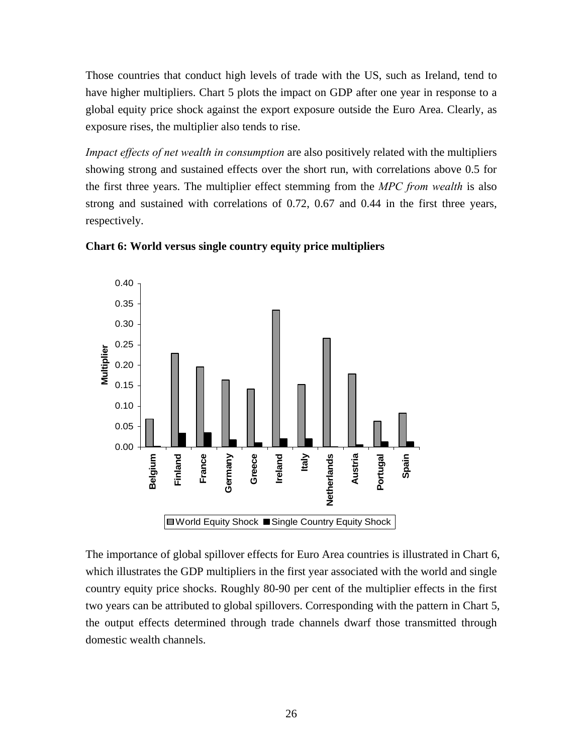Those countries that conduct high levels of trade with the US, such as Ireland, tend to have higher multipliers. Chart 5 plots the impact on GDP after one year in response to a global equity price shock against the export exposure outside the Euro Area. Clearly, as exposure rises, the multiplier also tends to rise.

*Impact effects of net wealth in consumption* are also positively related with the multipliers showing strong and sustained effects over the short run, with correlations above 0.5 for the first three years. The multiplier effect stemming from the *MPC from wealth* is also strong and sustained with correlations of 0.72, 0.67 and 0.44 in the first three years, respectively.





The importance of global spillover effects for Euro Area countries is illustrated in Chart 6, which illustrates the GDP multipliers in the first year associated with the world and single country equity price shocks. Roughly 80-90 per cent of the multiplier effects in the first two years can be attributed to global spillovers. Corresponding with the pattern in Chart 5, the output effects determined through trade channels dwarf those transmitted through domestic wealth channels.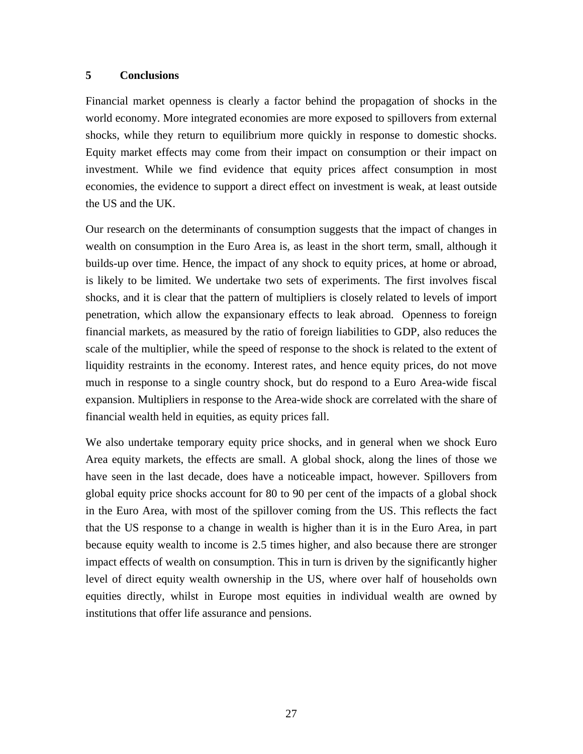#### **5 Conclusions**

Financial market openness is clearly a factor behind the propagation of shocks in the world economy. More integrated economies are more exposed to spillovers from external shocks, while they return to equilibrium more quickly in response to domestic shocks. Equity market effects may come from their impact on consumption or their impact on investment. While we find evidence that equity prices affect consumption in most economies, the evidence to support a direct effect on investment is weak, at least outside the US and the UK.

Our research on the determinants of consumption suggests that the impact of changes in wealth on consumption in the Euro Area is, as least in the short term, small, although it builds-up over time. Hence, the impact of any shock to equity prices, at home or abroad, is likely to be limited. We undertake two sets of experiments. The first involves fiscal shocks, and it is clear that the pattern of multipliers is closely related to levels of import penetration, which allow the expansionary effects to leak abroad. Openness to foreign financial markets, as measured by the ratio of foreign liabilities to GDP, also reduces the scale of the multiplier, while the speed of response to the shock is related to the extent of liquidity restraints in the economy. Interest rates, and hence equity prices, do not move much in response to a single country shock, but do respond to a Euro Area-wide fiscal expansion. Multipliers in response to the Area-wide shock are correlated with the share of financial wealth held in equities, as equity prices fall.

We also undertake temporary equity price shocks, and in general when we shock Euro Area equity markets, the effects are small. A global shock, along the lines of those we have seen in the last decade, does have a noticeable impact, however. Spillovers from global equity price shocks account for 80 to 90 per cent of the impacts of a global shock in the Euro Area, with most of the spillover coming from the US. This reflects the fact that the US response to a change in wealth is higher than it is in the Euro Area, in part because equity wealth to income is 2.5 times higher, and also because there are stronger impact effects of wealth on consumption. This in turn is driven by the significantly higher level of direct equity wealth ownership in the US, where over half of households own equities directly, whilst in Europe most equities in individual wealth are owned by institutions that offer life assurance and pensions.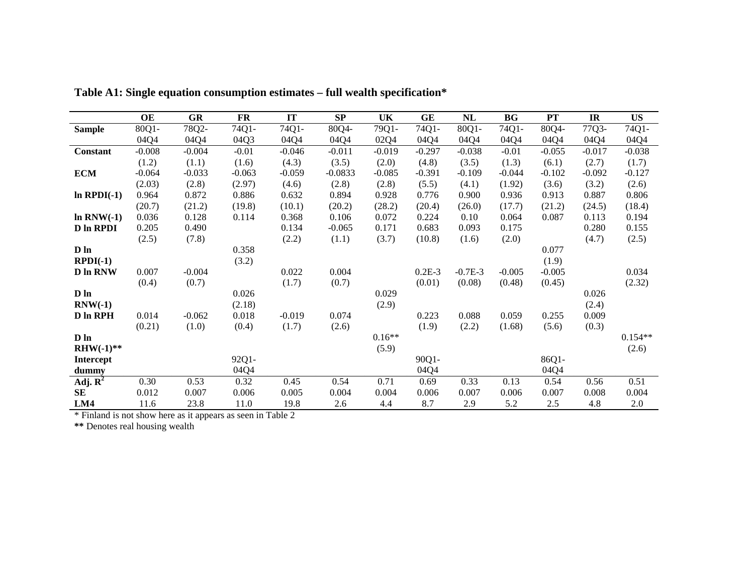|                                | OE       | <b>GR</b> | <b>FR</b> | <b>IT</b> | SP        | <b>UK</b> | GE       | NL        | <b>BG</b> | PT       | IR       | <b>US</b> |
|--------------------------------|----------|-----------|-----------|-----------|-----------|-----------|----------|-----------|-----------|----------|----------|-----------|
| <b>Sample</b>                  | 80Q1-    | 78Q2-     | 74Q1-     | 74Q1-     | 80Q4-     | 79Q1-     | 74Q1-    | 80Q1-     | 74Q1-     | 80Q4-    | 77Q3-    | 74Q1-     |
|                                | 04Q4     | 04Q4      | 04Q3      | 04Q4      | 04Q4      | 02Q4      | 04Q4     | 04Q4      | 04Q4      | 04Q4     | 04Q4     | 04Q4      |
| Constant                       | $-0.008$ | $-0.004$  | $-0.01$   | $-0.046$  | $-0.011$  | $-0.019$  | $-0.297$ | $-0.038$  | $-0.01$   | $-0.055$ | $-0.017$ | $-0.038$  |
|                                | (1.2)    | (1.1)     | (1.6)     | (4.3)     | (3.5)     | (2.0)     | (4.8)    | (3.5)     | (1.3)     | (6.1)    | (2.7)    | (1.7)     |
| <b>ECM</b>                     | $-0.064$ | $-0.033$  | $-0.063$  | $-0.059$  | $-0.0833$ | $-0.085$  | $-0.391$ | $-0.109$  | $-0.044$  | $-0.102$ | $-0.092$ | $-0.127$  |
|                                | (2.03)   | (2.8)     | (2.97)    | (4.6)     | (2.8)     | (2.8)     | (5.5)    | (4.1)     | (1.92)    | (3.6)    | (3.2)    | (2.6)     |
| $ln$ RPDI $(-1)$               | 0.964    | 0.872     | 0.886     | 0.632     | 0.894     | 0.928     | 0.776    | 0.900     | 0.936     | 0.913    | 0.887    | 0.806     |
|                                | (20.7)   | (21.2)    | (19.8)    | (10.1)    | (20.2)    | (28.2)    | (20.4)   | (26.0)    | (17.7)    | (21.2)   | (24.5)   | (18.4)    |
| $ln RNW(-1)$                   | 0.036    | 0.128     | 0.114     | 0.368     | 0.106     | 0.072     | 0.224    | 0.10      | 0.064     | 0.087    | 0.113    | 0.194     |
| <b>D</b> In RPDI               | 0.205    | 0.490     |           | 0.134     | $-0.065$  | 0.171     | 0.683    | 0.093     | 0.175     |          | 0.280    | 0.155     |
|                                | (2.5)    | (7.8)     |           | (2.2)     | (1.1)     | (3.7)     | (10.8)   | (1.6)     | (2.0)     |          | (4.7)    | (2.5)     |
| D ln                           |          |           | 0.358     |           |           |           |          |           |           | 0.077    |          |           |
| $RPDI(-1)$                     |          |           | (3.2)     |           |           |           |          |           |           | (1.9)    |          |           |
| <b>D</b> In RNW                | 0.007    | $-0.004$  |           | 0.022     | 0.004     |           | $0.2E-3$ | $-0.7E-3$ | $-0.005$  | $-0.005$ |          | 0.034     |
|                                | (0.4)    | (0.7)     |           | (1.7)     | (0.7)     |           | (0.01)   | (0.08)    | (0.48)    | (0.45)   |          | (2.32)    |
| $D$ $ln$                       |          |           | 0.026     |           |           | 0.029     |          |           |           |          | 0.026    |           |
| $RNW(-1)$                      |          |           | (2.18)    |           |           | (2.9)     |          |           |           |          | (2.4)    |           |
| D In RPH                       | 0.014    | $-0.062$  | 0.018     | $-0.019$  | 0.074     |           | 0.223    | 0.088     | 0.059     | 0.255    | 0.009    |           |
|                                | (0.21)   | (1.0)     | (0.4)     | (1.7)     | (2.6)     |           | (1.9)    | (2.2)     | (1.68)    | (5.6)    | (0.3)    |           |
| D ln                           |          |           |           |           |           | $0.16**$  |          |           |           |          |          | $0.154**$ |
| $RHW(-1)$ **                   |          |           |           |           |           | (5.9)     |          |           |           |          |          | (2.6)     |
| <b>Intercept</b>               |          |           | 92Q1-     |           |           |           | 90Q1-    |           |           | 86Q1-    |          |           |
| dummy                          |          |           | 04Q4      |           |           |           | 04Q4     |           |           | 04Q4     |          |           |
| Adj. $\overline{\mathbf{R}^2}$ | 0.30     | 0.53      | 0.32      | 0.45      | 0.54      | 0.71      | 0.69     | 0.33      | 0.13      | 0.54     | 0.56     | 0.51      |
| <b>SE</b>                      | 0.012    | 0.007     | 0.006     | 0.005     | 0.004     | 0.004     | 0.006    | 0.007     | 0.006     | 0.007    | 0.008    | 0.004     |
| LM4                            | 11.6     | 23.8      | 11.0      | 19.8      | 2.6       | 4.4       | 8.7      | 2.9       | 5.2       | 2.5      | 4.8      | 2.0       |

**Table A1: Single equation consumption estimates – full wealth specification\*** 

\* Finland is not show here as it appears as seen in Table 2

**\*\*** Denotes real housing wealth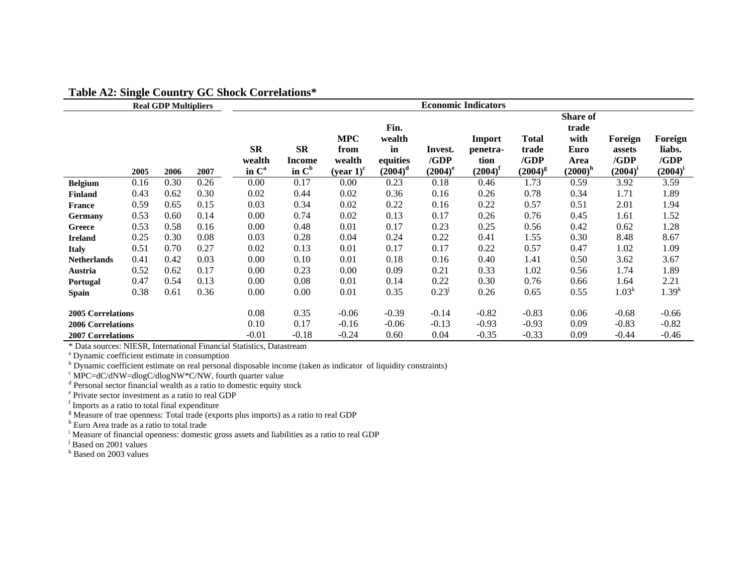|                                                                                  |              | <b>Real GDP Multipliers</b> |              |                                          |                                 |                                                          |                                                |                               | <b>Economic Indicators</b>               |                                               |                                                           |                                           |                                           |
|----------------------------------------------------------------------------------|--------------|-----------------------------|--------------|------------------------------------------|---------------------------------|----------------------------------------------------------|------------------------------------------------|-------------------------------|------------------------------------------|-----------------------------------------------|-----------------------------------------------------------|-------------------------------------------|-------------------------------------------|
|                                                                                  |              |                             |              | <b>SR</b><br>wealth<br>in C <sup>a</sup> | <b>SR</b><br>Income<br>in $C^b$ | <b>MPC</b><br>from<br>wealth<br>(year $1$ ) <sup>c</sup> | Fin.<br>wealth<br>in<br>equities<br>$(2004)^d$ | Invest.<br>/GDP<br>$(2004)^e$ | Import<br>penetra-<br>tion<br>$(2004)^f$ | <b>Total</b><br>trade<br>/GDP<br>$(2004)^{g}$ | Share of<br>trade<br>with<br>Euro<br>Area<br>$(2000)^{h}$ | Foreign<br>assets<br>/GDP<br>$(2004)^{i}$ | Foreign<br>liabs.<br>/GDP<br>$(2004)^{i}$ |
| <b>Belgium</b>                                                                   | 2005<br>0.16 | 2006<br>0.30                | 2007<br>0.26 | 0.00                                     | 0.17                            | 0.00                                                     | 0.23                                           | 0.18                          | 0.46                                     | 1.73                                          | 0.59                                                      | 3.92                                      | 3.59                                      |
| <b>Finland</b>                                                                   | 0.43         | 0.62                        | 0.30         | 0.02                                     | 0.44                            | 0.02                                                     | 0.36                                           | 0.16                          | 0.26                                     | 0.78                                          | 0.34                                                      | 1.71                                      | 1.89                                      |
| <b>France</b>                                                                    | 0.59         | 0.65                        | 0.15         | 0.03                                     | 0.34                            | 0.02                                                     | 0.22                                           | 0.16                          | 0.22                                     | 0.57                                          | 0.51                                                      | 2.01                                      | 1.94                                      |
| Germany                                                                          | 0.53         | 0.60                        | 0.14         | 0.00                                     | 0.74                            | 0.02                                                     | 0.13                                           | 0.17                          | 0.26                                     | 0.76                                          | 0.45                                                      | 1.61                                      | 1.52                                      |
| Greece                                                                           | 0.53         | 0.58                        | 0.16         | 0.00                                     | 0.48                            | 0.01                                                     | 0.17                                           | 0.23                          | 0.25                                     | 0.56                                          | 0.42                                                      | 0.62                                      | 1.28                                      |
| <b>Ireland</b>                                                                   | 0.25         | 0.30                        | 0.08         | 0.03                                     | 0.28                            | 0.04                                                     | 0.24                                           | 0.22                          | 0.41                                     | 1.55                                          | 0.30                                                      | 8.48                                      | 8.67                                      |
| <b>Italy</b>                                                                     | 0.51         | 0.70                        | 0.27         | 0.02                                     | 0.13                            | 0.01                                                     | 0.17                                           | 0.17                          | 0.22                                     | 0.57                                          | 0.47                                                      | 1.02                                      | 1.09                                      |
| <b>Netherlands</b>                                                               | 0.41         | 0.42                        | 0.03         | 0.00                                     | 0.10                            | 0.01                                                     | 0.18                                           | 0.16                          | 0.40                                     | 1.41                                          | 0.50                                                      | 3.62                                      | 3.67                                      |
| Austria                                                                          | 0.52         | 0.62                        | 0.17         | 0.00                                     | 0.23                            | 0.00                                                     | 0.09                                           | 0.21                          | 0.33                                     | 1.02                                          | 0.56                                                      | 1.74                                      | 1.89                                      |
| <b>Portugal</b>                                                                  | 0.47         | 0.54                        | 0.13         | 0.00                                     | 0.08                            | 0.01                                                     | 0.14                                           | 0.22                          | 0.30                                     | 0.76                                          | 0.66                                                      | 1.64                                      | 2.21                                      |
| <b>Spain</b>                                                                     | 0.38         | 0.61                        | 0.36         | 0.00                                     | 0.00                            | 0.01                                                     | 0.35                                           | 0.23 <sup>J</sup>             | 0.26                                     | 0.65                                          | 0.55                                                      | 1.03 <sup>k</sup>                         | 1.39 <sup>k</sup>                         |
| <b>2005 Correlations</b><br><b>2006 Correlations</b><br><b>2007 Correlations</b> |              |                             |              | 0.08<br>0.10<br>$-0.01$                  | 0.35<br>0.17<br>$-0.18$         | $-0.06$<br>$-0.16$<br>$-0.24$                            | $-0.39$<br>$-0.06$<br>0.60                     | $-0.14$<br>$-0.13$<br>0.04    | $-0.82$<br>$-0.93$<br>$-0.35$            | $-0.83$<br>$-0.93$<br>$-0.33$                 | 0.06<br>0.09<br>0.09                                      | $-0.68$<br>$-0.83$<br>$-0.44$             | $-0.66$<br>$-0.82$<br>$-0.46$             |

#### **Table A2: Single Country GC Shock Correlations\***

\* Data sources: NIESR, International Financial Statistics, Datastream

a Dynamic coefficient estimate in consumption

<sup>b</sup> Dynamic coefficient estimate on real personal disposable income (taken as indicator of liquidity constraints)

 $\rm\degree$  MPC=dC/dNW=dlogC/dlogNW\*C/NW, fourth quarter value

<sup>d</sup> Personal sector financial wealth as a ratio to domestic equity stock

<sup>e</sup> Private sector investment as a ratio to real GDP f Imports as a ratio to total final expenditure

<sup>g</sup> Measure of trae openness: Total trade (exports plus imports) as a ratio to real GDP

<sup>h</sup> Euro Area trade as a ratio to total trade

<sup>i</sup> Measure of financial openness: domestic gross assets and liabilities as a ratio to real GDP

<sup>j</sup> Based on 2001 values

k Based on 2003 values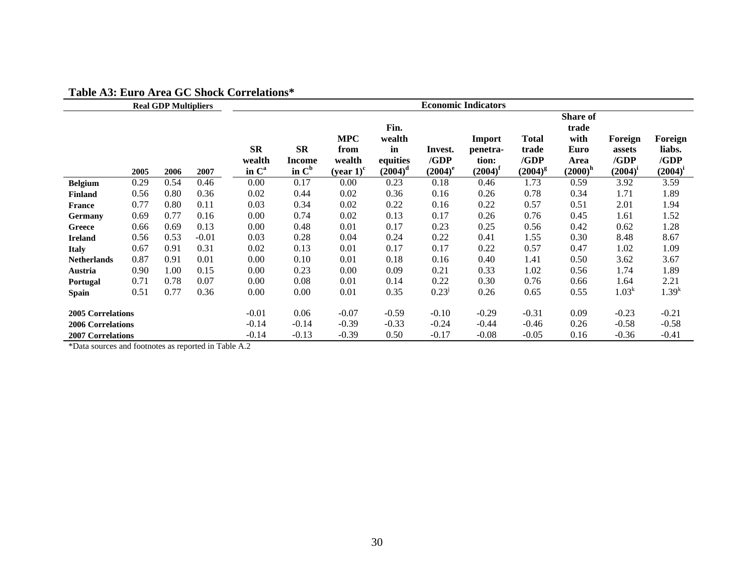|                                                      |      | <b>Real GDP Multipliers</b> |         |                                          |                                               |                                                          |                                                |                               | <b>Economic Indicators</b>                      |                                               |                                                           |                                           |                                           |
|------------------------------------------------------|------|-----------------------------|---------|------------------------------------------|-----------------------------------------------|----------------------------------------------------------|------------------------------------------------|-------------------------------|-------------------------------------------------|-----------------------------------------------|-----------------------------------------------------------|-------------------------------------------|-------------------------------------------|
|                                                      | 2005 | 2006                        | 2007    | <b>SR</b><br>wealth<br>in C <sup>a</sup> | $S_{\mathbf{R}}$<br><b>Income</b><br>in $C^b$ | <b>MPC</b><br>from<br>wealth<br>(year $1$ ) <sup>c</sup> | Fin.<br>wealth<br>in<br>equities<br>$(2004)^d$ | Invest.<br>/GDP<br>$(2004)^e$ | Import<br>penetra-<br>tion:<br>$(2004)^{\rm f}$ | <b>Total</b><br>trade<br>/GDP<br>$(2004)^{g}$ | Share of<br>trade<br>with<br>Euro<br>Area<br>$(2000)^{h}$ | Foreign<br>assets<br>/GDP<br>$(2004)^{i}$ | Foreign<br>liabs.<br>/GDP<br>$(2004)^{i}$ |
| <b>Belgium</b>                                       | 0.29 | 0.54                        | 0.46    | 0.00                                     | 0.17                                          | 0.00                                                     | 0.23                                           | 0.18                          | 0.46                                            | 1.73                                          | 0.59                                                      | 3.92                                      | 3.59                                      |
| <b>Finland</b>                                       | 0.56 | 0.80                        | 0.36    | 0.02                                     | 0.44                                          | 0.02                                                     | 0.36                                           | 0.16                          | 0.26                                            | 0.78                                          | 0.34                                                      | 1.71                                      | 1.89                                      |
| <b>France</b>                                        | 0.77 | 0.80                        | 0.11    | 0.03                                     | 0.34                                          | 0.02                                                     | 0.22                                           | 0.16                          | 0.22                                            | 0.57                                          | 0.51                                                      | 2.01                                      | 1.94                                      |
| Germany                                              | 0.69 | 0.77                        | 0.16    | 0.00                                     | 0.74                                          | 0.02                                                     | 0.13                                           | 0.17                          | 0.26                                            | 0.76                                          | 0.45                                                      | 1.61                                      | 1.52                                      |
| Greece                                               | 0.66 | 0.69                        | 0.13    | 0.00                                     | 0.48                                          | 0.01                                                     | 0.17                                           | 0.23                          | 0.25                                            | 0.56                                          | 0.42                                                      | 0.62                                      | 1.28                                      |
| <b>Ireland</b>                                       | 0.56 | 0.53                        | $-0.01$ | 0.03                                     | 0.28                                          | 0.04                                                     | 0.24                                           | 0.22                          | 0.41                                            | 1.55                                          | 0.30                                                      | 8.48                                      | 8.67                                      |
| <b>Italy</b>                                         | 0.67 | 0.91                        | 0.31    | 0.02                                     | 0.13                                          | 0.01                                                     | 0.17                                           | 0.17                          | 0.22                                            | 0.57                                          | 0.47                                                      | 1.02                                      | 1.09                                      |
| <b>Netherlands</b>                                   | 0.87 | 0.91                        | 0.01    | 0.00                                     | 0.10                                          | 0.01                                                     | 0.18                                           | 0.16                          | 0.40                                            | 1.41                                          | 0.50                                                      | 3.62                                      | 3.67                                      |
| Austria                                              | 0.90 | 1.00                        | 0.15    | 0.00                                     | 0.23                                          | 0.00                                                     | 0.09                                           | 0.21                          | 0.33                                            | 1.02                                          | 0.56                                                      | 1.74                                      | 1.89                                      |
| <b>Portugal</b>                                      | 0.71 | 0.78                        | 0.07    | 0.00                                     | 0.08                                          | 0.01                                                     | 0.14                                           | 0.22                          | 0.30                                            | 0.76                                          | 0.66                                                      | 1.64                                      | 2.21                                      |
| Spain                                                | 0.51 | 0.77                        | 0.36    | 0.00                                     | 0.00                                          | 0.01                                                     | 0.35                                           | $0.23^{j}$                    | 0.26                                            | 0.65                                          | 0.55                                                      | 1.03 <sup>k</sup>                         | 1.39 <sup>k</sup>                         |
| <b>2005 Correlations</b><br><b>2006 Correlations</b> |      |                             |         | $-0.01$<br>$-0.14$                       | 0.06<br>$-0.14$                               | $-0.07$<br>$-0.39$                                       | $-0.59$<br>$-0.33$                             | $-0.10$<br>$-0.24$            | $-0.29$<br>$-0.44$                              | $-0.31$<br>$-0.46$                            | 0.09<br>0.26                                              | $-0.23$<br>$-0.58$                        | $-0.21$<br>$-0.58$                        |
| <b>2007 Correlations</b>                             |      |                             |         | $-0.14$                                  | $-0.13$                                       | $-0.39$                                                  | 0.50                                           | $-0.17$                       | $-0.08$                                         | $-0.05$                                       | 0.16                                                      | $-0.36$                                   | $-0.41$                                   |

#### **Table A3: Euro Area GC Shock Correlations\***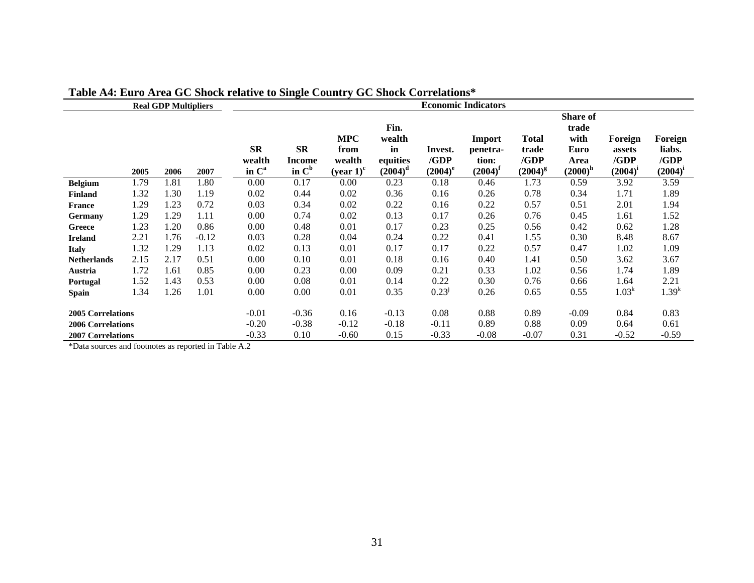|                                                      |      | <b>Real GDP Multipliers</b> |         |                                          | ਰਾ                              | ------- <i>J</i>                             |                                                |                               | <b>Economic Indicators</b>                  |                                               |                                                                       |                                           |                                           |
|------------------------------------------------------|------|-----------------------------|---------|------------------------------------------|---------------------------------|----------------------------------------------|------------------------------------------------|-------------------------------|---------------------------------------------|-----------------------------------------------|-----------------------------------------------------------------------|-------------------------------------------|-------------------------------------------|
|                                                      | 2005 | 2006                        | 2007    | <b>SR</b><br>wealth<br>in C <sup>a</sup> | <b>SR</b><br>Income<br>in $C^b$ | <b>MPC</b><br>from<br>wealth<br>$(year 1)^c$ | Fin.<br>wealth<br>in<br>equities<br>$(2004)^d$ | Invest.<br>/GDP<br>$(2004)^e$ | Import<br>penetra-<br>tion:<br>$(2004)^{f}$ | <b>Total</b><br>trade<br>/GDP<br>$(2004)^{g}$ | <b>Share of</b><br>trade<br>with<br><b>Euro</b><br>Area<br>$(2000)^h$ | Foreign<br>assets<br>/GDP<br>$(2004)^{i}$ | Foreign<br>liabs.<br>/GDP<br>$(2004)^{i}$ |
| <b>Belgium</b>                                       | 1.79 | 1.81                        | 1.80    | 0.00                                     | 0.17                            | 0.00                                         | 0.23                                           | 0.18                          | 0.46                                        | 1.73                                          | 0.59                                                                  | 3.92                                      | 3.59                                      |
| <b>Finland</b>                                       | 1.32 | 1.30                        | 1.19    | 0.02                                     | 0.44                            | 0.02                                         | 0.36                                           | 0.16                          | 0.26                                        | 0.78                                          | 0.34                                                                  | 1.71                                      | 1.89                                      |
| <b>France</b>                                        | 1.29 | 1.23                        | 0.72    | 0.03                                     | 0.34                            | 0.02                                         | 0.22                                           | 0.16                          | 0.22                                        | 0.57                                          | 0.51                                                                  | 2.01                                      | 1.94                                      |
| Germany                                              | 1.29 | 1.29                        | 1.11    | 0.00                                     | 0.74                            | 0.02                                         | 0.13                                           | 0.17                          | 0.26                                        | 0.76                                          | 0.45                                                                  | 1.61                                      | 1.52                                      |
| Greece                                               | 1.23 | 1.20                        | 0.86    | 0.00                                     | 0.48                            | 0.01                                         | 0.17                                           | 0.23                          | 0.25                                        | 0.56                                          | 0.42                                                                  | 0.62                                      | 1.28                                      |
| <b>Ireland</b>                                       | 2.21 | 1.76                        | $-0.12$ | 0.03                                     | 0.28                            | 0.04                                         | 0.24                                           | 0.22                          | 0.41                                        | 1.55                                          | 0.30                                                                  | 8.48                                      | 8.67                                      |
| <b>Italy</b>                                         | 1.32 | 1.29                        | 1.13    | 0.02                                     | 0.13                            | 0.01                                         | 0.17                                           | 0.17                          | 0.22                                        | 0.57                                          | 0.47                                                                  | 1.02                                      | 1.09                                      |
| <b>Netherlands</b>                                   | 2.15 | 2.17                        | 0.51    | 0.00                                     | 0.10                            | 0.01                                         | 0.18                                           | 0.16                          | 0.40                                        | 1.41                                          | 0.50                                                                  | 3.62                                      | 3.67                                      |
| Austria                                              | 1.72 | 1.61                        | 0.85    | 0.00                                     | 0.23                            | 0.00                                         | 0.09                                           | 0.21                          | 0.33                                        | 1.02                                          | 0.56                                                                  | 1.74                                      | 1.89                                      |
| Portugal                                             | 1.52 | 1.43                        | 0.53    | 0.00                                     | 0.08                            | 0.01                                         | 0.14                                           | 0.22                          | 0.30                                        | 0.76                                          | 0.66                                                                  | 1.64                                      | 2.21                                      |
| Spain                                                | 1.34 | 1.26                        | 1.01    | 0.00                                     | 0.00                            | 0.01                                         | 0.35                                           | 0.23 <sup>J</sup>             | 0.26                                        | 0.65                                          | 0.55                                                                  | 1.03 <sup>k</sup>                         | $1.39^{k}$                                |
| <b>2005 Correlations</b><br><b>2006 Correlations</b> |      |                             |         | $-0.01$<br>$-0.20$                       | $-0.36$<br>$-0.38$              | 0.16<br>$-0.12$                              | $-0.13$<br>$-0.18$                             | 0.08<br>$-0.11$               | 0.88<br>0.89                                | 0.89<br>0.88                                  | $-0.09$<br>0.09                                                       | 0.84<br>0.64                              | 0.83<br>0.61                              |
| <b>2007 Correlations</b>                             |      |                             |         | $-0.33$                                  | 0.10                            | $-0.60$                                      | 0.15                                           | $-0.33$                       | $-0.08$                                     | $-0.07$                                       | 0.31                                                                  | $-0.52$                                   | $-0.59$                                   |

## **Table A4: Euro Area GC Shock relative to Single Country GC Shock Correlations\***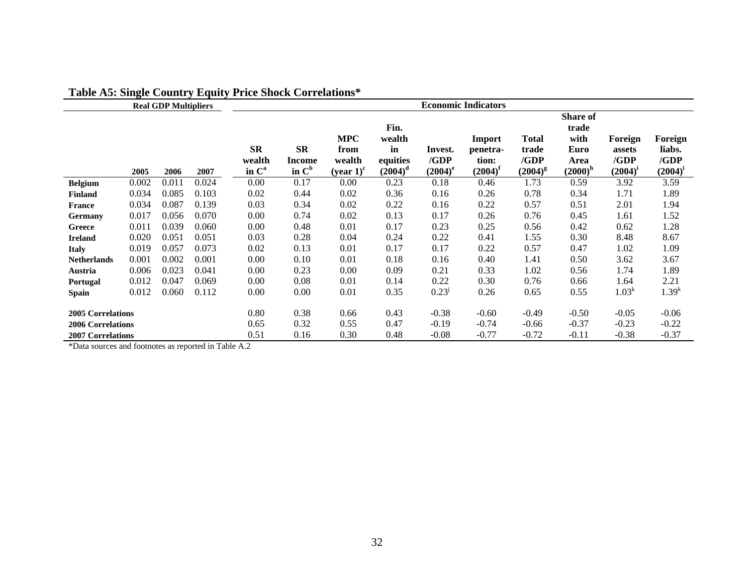|                                                      |       | <b>Real GDP Multipliers</b> | $\sim$ $\sim$ $\sim$ $\sim$ $\sim$ $\sim$ | <b>Economic Indicators</b>               |                                               |                                                          |                                                |                               |                                           |                                               |                                                         |                                           |                                           |
|------------------------------------------------------|-------|-----------------------------|-------------------------------------------|------------------------------------------|-----------------------------------------------|----------------------------------------------------------|------------------------------------------------|-------------------------------|-------------------------------------------|-----------------------------------------------|---------------------------------------------------------|-------------------------------------------|-------------------------------------------|
|                                                      | 2005  | 2006                        | 2007                                      | <b>SR</b><br>wealth<br>in C <sup>a</sup> | $S_{\mathbf{R}}$<br><b>Income</b><br>in $C^b$ | <b>MPC</b><br>from<br>wealth<br>(year $1$ ) <sup>c</sup> | Fin.<br>wealth<br>in<br>equities<br>$(2004)^d$ | Invest.<br>/GDP<br>$(2004)^e$ | Import<br>penetra-<br>tion:<br>$(2004)^f$ | <b>Total</b><br>trade<br>/GDP<br>$(2004)^{g}$ | Share of<br>trade<br>with<br>Euro<br>Area<br>$(2000)^h$ | Foreign<br>assets<br>/GDP<br>$(2004)^{i}$ | Foreign<br>liabs.<br>/GDP<br>$(2004)^{i}$ |
| <b>Belgium</b>                                       | 0.002 | 0.011                       | 0.024                                     | 0.00                                     | 0.17                                          | 0.00                                                     | 0.23                                           | 0.18                          | 0.46                                      | 1.73                                          | 0.59                                                    | 3.92                                      | 3.59                                      |
| <b>Finland</b>                                       | 0.034 | 0.085                       | 0.103                                     | 0.02                                     | 0.44                                          | 0.02                                                     | 0.36                                           | 0.16                          | 0.26                                      | 0.78                                          | 0.34                                                    | 1.71                                      | 1.89                                      |
| <b>France</b>                                        | 0.034 | 0.087                       | 0.139                                     | 0.03                                     | 0.34                                          | 0.02                                                     | 0.22                                           | 0.16                          | 0.22                                      | 0.57                                          | 0.51                                                    | 2.01                                      | 1.94                                      |
| Germany                                              | 0.017 | 0.056                       | 0.070                                     | 0.00                                     | 0.74                                          | 0.02                                                     | 0.13                                           | 0.17                          | 0.26                                      | 0.76                                          | 0.45                                                    | 1.61                                      | 1.52                                      |
| Greece                                               | 0.011 | 0.039                       | 0.060                                     | 0.00                                     | 0.48                                          | 0.01                                                     | 0.17                                           | 0.23                          | 0.25                                      | 0.56                                          | 0.42                                                    | 0.62                                      | 1.28                                      |
| <b>Ireland</b>                                       | 0.020 | 0.051                       | 0.051                                     | 0.03                                     | 0.28                                          | 0.04                                                     | 0.24                                           | 0.22                          | 0.41                                      | 1.55                                          | 0.30                                                    | 8.48                                      | 8.67                                      |
| <b>Italy</b>                                         | 0.019 | 0.057                       | 0.073                                     | 0.02                                     | 0.13                                          | 0.01                                                     | 0.17                                           | 0.17                          | 0.22                                      | 0.57                                          | 0.47                                                    | 1.02                                      | 1.09                                      |
| <b>Netherlands</b>                                   | 0.001 | 0.002                       | 0.001                                     | 0.00                                     | 0.10                                          | 0.01                                                     | 0.18                                           | 0.16                          | 0.40                                      | 1.41                                          | 0.50                                                    | 3.62                                      | 3.67                                      |
| Austria                                              | 0.006 | 0.023                       | 0.041                                     | 0.00                                     | 0.23                                          | 0.00                                                     | 0.09                                           | 0.21                          | 0.33                                      | 1.02                                          | 0.56                                                    | 1.74                                      | 1.89                                      |
| <b>Portugal</b>                                      | 0.012 | 0.047                       | 0.069                                     | 0.00                                     | 0.08                                          | 0.01                                                     | 0.14                                           | 0.22                          | 0.30                                      | 0.76                                          | 0.66                                                    | 1.64                                      | 2.21                                      |
| Spain                                                | 0.012 | 0.060                       | 0.112                                     | 0.00                                     | 0.00                                          | 0.01                                                     | 0.35                                           | $0.23^{J}$                    | 0.26                                      | 0.65                                          | 0.55                                                    | 1.03 <sup>k</sup>                         | $1.39^{k}$                                |
| <b>2005 Correlations</b><br><b>2006 Correlations</b> |       |                             | 0.80<br>0.65                              | 0.38<br>0.32                             | 0.66<br>0.55                                  | 0.43<br>0.47                                             | $-0.38$<br>$-0.19$                             | $-0.60$<br>$-0.74$            | $-0.49$<br>$-0.66$                        | $-0.50$<br>$-0.37$                            | $-0.05$<br>$-0.23$                                      | $-0.06$<br>$-0.22$                        |                                           |
| <b>2007 Correlations</b>                             |       |                             |                                           | 0.51                                     | 0.16                                          | 0.30                                                     | 0.48                                           | $-0.08$                       | $-0.77$                                   | $-0.72$                                       | $-0.11$                                                 | $-0.38$                                   | $-0.37$                                   |

## **Table A5: Single Country Equity Price Shock Correlations\***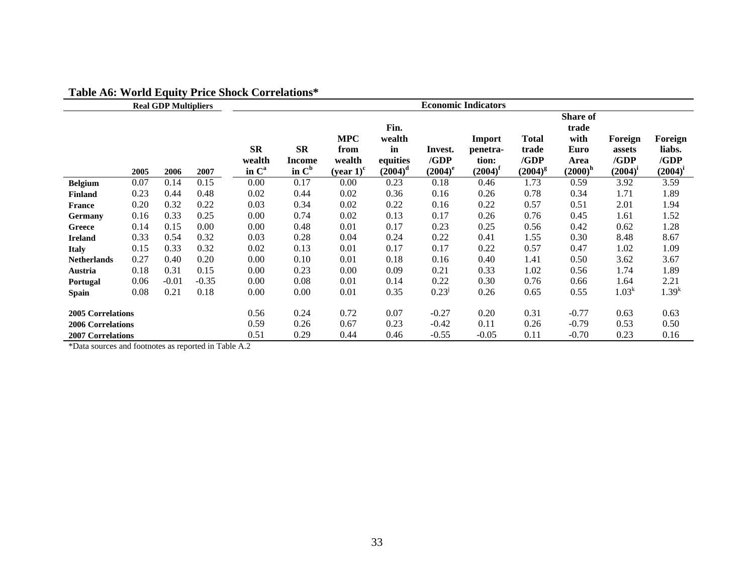|                                                      |      | <b>Real GDP Multipliers</b> | $\mathbf{u} \cdot \mathbf{v}$ and $\mathbf{v}$ | <b>COLL CIRCLOID</b><br><b>Economic Indicators</b> |                                        |                                                          |                                                |                               |                                           |                                               |                                                         |                                           |                                           |
|------------------------------------------------------|------|-----------------------------|------------------------------------------------|----------------------------------------------------|----------------------------------------|----------------------------------------------------------|------------------------------------------------|-------------------------------|-------------------------------------------|-----------------------------------------------|---------------------------------------------------------|-------------------------------------------|-------------------------------------------|
|                                                      | 2005 | 2006                        | 2007                                           | <b>SR</b><br>wealth<br>in C <sup>a</sup>           | $S_{\mathbf{R}}$<br>Income<br>in $C^b$ | <b>MPC</b><br>from<br>wealth<br>(year $1$ ) <sup>c</sup> | Fin.<br>wealth<br>in<br>equities<br>$(2004)^d$ | Invest.<br>/GDP<br>$(2004)^e$ | Import<br>penetra-<br>tion:<br>$(2004)^f$ | <b>Total</b><br>trade<br>/GDP<br>$(2004)^{g}$ | Share of<br>trade<br>with<br>Euro<br>Area<br>$(2000)^h$ | Foreign<br>assets<br>/GDP<br>$(2004)^{i}$ | Foreign<br>liabs.<br>/GDP<br>$(2004)^{i}$ |
| <b>Belgium</b>                                       | 0.07 | 0.14                        | 0.15                                           | 0.00                                               | 0.17                                   | 0.00                                                     | 0.23                                           | 0.18                          | 0.46                                      | 1.73                                          | 0.59                                                    | 3.92                                      | 3.59                                      |
| <b>Finland</b>                                       | 0.23 | 0.44                        | 0.48                                           | 0.02                                               | 0.44                                   | 0.02                                                     | 0.36                                           | 0.16                          | 0.26                                      | 0.78                                          | 0.34                                                    | 1.71                                      | 1.89                                      |
| <b>France</b>                                        | 0.20 | 0.32                        | 0.22                                           | 0.03                                               | 0.34                                   | 0.02                                                     | 0.22                                           | 0.16                          | 0.22                                      | 0.57                                          | 0.51                                                    | 2.01                                      | 1.94                                      |
| Germany                                              | 0.16 | 0.33                        | 0.25                                           | 0.00                                               | 0.74                                   | 0.02                                                     | 0.13                                           | 0.17                          | 0.26                                      | 0.76                                          | 0.45                                                    | 1.61                                      | 1.52                                      |
| Greece                                               | 0.14 | 0.15                        | 0.00                                           | 0.00                                               | 0.48                                   | 0.01                                                     | 0.17                                           | 0.23                          | 0.25                                      | 0.56                                          | 0.42                                                    | 0.62                                      | 1.28                                      |
| <b>Ireland</b>                                       | 0.33 | 0.54                        | 0.32                                           | 0.03                                               | 0.28                                   | 0.04                                                     | 0.24                                           | 0.22                          | 0.41                                      | 1.55                                          | 0.30                                                    | 8.48                                      | 8.67                                      |
| <b>Italy</b>                                         | 0.15 | 0.33                        | 0.32                                           | 0.02                                               | 0.13                                   | 0.01                                                     | 0.17                                           | 0.17                          | 0.22                                      | 0.57                                          | 0.47                                                    | 1.02                                      | 1.09                                      |
| <b>Netherlands</b>                                   | 0.27 | 0.40                        | 0.20                                           | 0.00                                               | 0.10                                   | 0.01                                                     | 0.18                                           | 0.16                          | 0.40                                      | 1.41                                          | 0.50                                                    | 3.62                                      | 3.67                                      |
| Austria                                              | 0.18 | 0.31                        | 0.15                                           | 0.00                                               | 0.23                                   | 0.00                                                     | 0.09                                           | 0.21                          | 0.33                                      | 1.02                                          | 0.56                                                    | 1.74                                      | 1.89                                      |
| <b>Portugal</b>                                      | 0.06 | $-0.01$                     | $-0.35$                                        | 0.00                                               | 0.08                                   | 0.01                                                     | 0.14                                           | 0.22                          | 0.30                                      | 0.76                                          | 0.66                                                    | 1.64                                      | 2.21                                      |
| Spain                                                | 0.08 | 0.21                        | 0.18                                           | 0.00                                               | 0.00                                   | 0.01                                                     | 0.35                                           | $0.23^{j}$                    | 0.26                                      | 0.65                                          | 0.55                                                    | 1.03 <sup>k</sup>                         | $1.39^{k}$                                |
| <b>2005 Correlations</b><br><b>2006 Correlations</b> |      |                             | 0.56<br>0.59                                   | 0.24<br>0.26                                       | 0.72<br>0.67                           | 0.07<br>0.23                                             | $-0.27$<br>$-0.42$                             | 0.20<br>0.11                  | 0.31<br>0.26                              | $-0.77$<br>$-0.79$                            | 0.63<br>0.53                                            | 0.63<br>0.50                              |                                           |
| <b>2007 Correlations</b>                             |      |                             |                                                | 0.51                                               | 0.29                                   | 0.44                                                     | 0.46                                           | $-0.55$                       | $-0.05$                                   | 0.11                                          | $-0.70$                                                 | 0.23                                      | 0.16                                      |

## **Table A6: World Equity Price Shock Correlations\***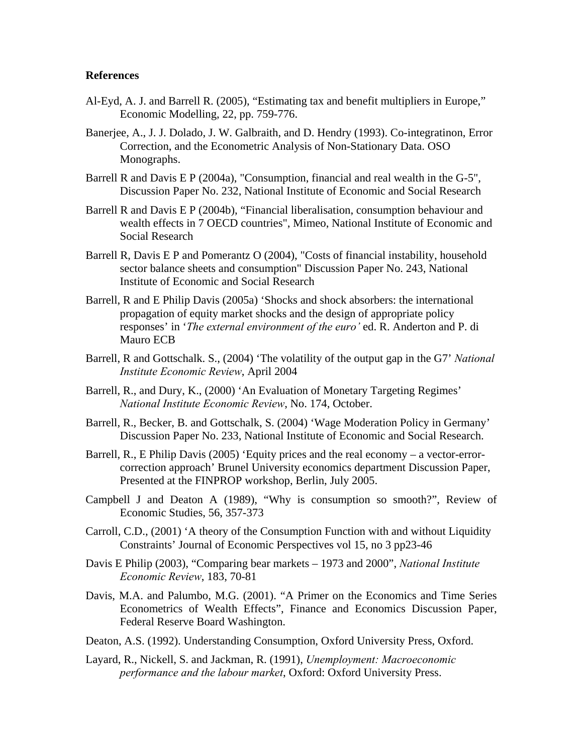#### **References**

- Al-Eyd, A. J. and Barrell R. (2005), "Estimating tax and benefit multipliers in Europe," Economic Modelling, 22, pp. 759-776.
- Banerjee, A., J. J. Dolado, J. W. Galbraith, and D. Hendry (1993). Co-integratinon, Error Correction, and the Econometric Analysis of Non-Stationary Data. OSO Monographs.
- Barrell R and Davis E P (2004a), "Consumption, financial and real wealth in the G-5", Discussion Paper No. 232, National Institute of Economic and Social Research
- Barrell R and Davis E P (2004b), "Financial liberalisation, consumption behaviour and wealth effects in 7 OECD countries", Mimeo, National Institute of Economic and Social Research
- Barrell R, Davis E P and Pomerantz O (2004), "Costs of financial instability, household sector balance sheets and consumption" Discussion Paper No. 243, National Institute of Economic and Social Research
- Barrell, R and E Philip Davis (2005a) 'Shocks and shock absorbers: the international propagation of equity market shocks and the design of appropriate policy responses' in '*The external environment of the euro'* ed. R. Anderton and P. di Mauro ECB
- Barrell, R and Gottschalk. S., (2004) 'The volatility of the output gap in the G7' *National Institute Economic Review*, April 2004
- Barrell, R., and Dury, K., (2000) 'An Evaluation of Monetary Targeting Regimes' *National Institute Economic Review*, No. 174, October.
- Barrell, R., Becker, B. and Gottschalk, S. (2004) 'Wage Moderation Policy in Germany' Discussion Paper No. 233, National Institute of Economic and Social Research.
- Barrell, R., E Philip Davis (2005) 'Equity prices and the real economy a vector-errorcorrection approach' Brunel University economics department Discussion Paper, Presented at the FINPROP workshop, Berlin, July 2005.
- Campbell J and Deaton A (1989), "Why is consumption so smooth?", Review of Economic Studies, 56, 357-373
- Carroll, C.D., (2001) 'A theory of the Consumption Function with and without Liquidity Constraints' Journal of Economic Perspectives vol 15, no 3 pp23-46
- Davis E Philip (2003), "Comparing bear markets 1973 and 2000", *National Institute Economic Review*, 183, 70-81
- Davis, M.A. and Palumbo, M.G. (2001). "A Primer on the Economics and Time Series Econometrics of Wealth Effects", Finance and Economics Discussion Paper, Federal Reserve Board Washington.
- Deaton, A.S. (1992). Understanding Consumption, Oxford University Press, Oxford.
- [Layard, R](http://web5s.silverplatter.com/webspirs/doLS.ws?ss=Layard-Richard+in+AU)., [Nickell, S.](http://web5s.silverplatter.com/webspirs/doLS.ws?ss=Nickell-Stephen+in+AU) and [Jackman, R.](http://web5s.silverplatter.com/webspirs/doLS.ws?ss=Jackman-Richard+in+AU) (1991), *Unemployment: Macroeconomic performance and the labour market*, Oxford: Oxford University Press.